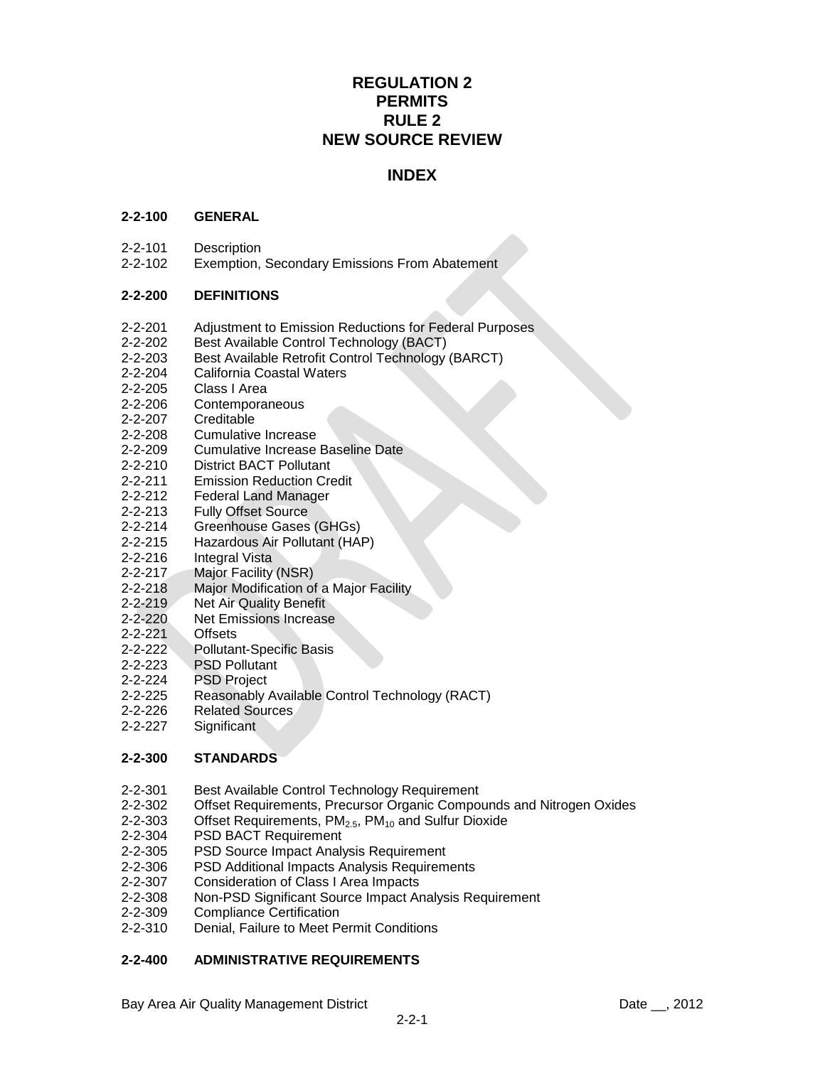# **REGULATION 2 PERMITS RULE 2 NEW SOURCE REVIEW**

# **INDEX**

### **2-2-100 GENERAL**

- 2-2-101 Description
- 2-2-102 Exemption, Secondary Emissions From Abatement

### **2-2-200 DEFINITIONS**

- 2-2-201 Adjustment to Emission Reductions for Federal Purposes
- 2-2-202 Best Available Control Technology (BACT)
- 2-2-203 Best Available Retrofit Control Technology (BARCT)
- 2-2-204 California Coastal Waters
- 2-2-205 Class I Area
- 2-2-206 Contemporaneous
- 2-2-207 Creditable
- 2-2-208 Cumulative Increase
- 2-2-209 Cumulative Increase Baseline Date
- 2-2-210 District BACT Pollutant
- 2-2-211 Emission Reduction Credit
- 2-2-212 Federal Land Manager
- 2-2-213 Fully Offset Source
- 2-2-214 Greenhouse Gases (GHGs)
- 2-2-215 Hazardous Air Pollutant (HAP)
- 2-2-216 Integral Vista
- 2-2-217 Major Facility (NSR)
- 2-2-218 Major Modification of a Major Facility
- 2-2-219 Net Air Quality Benefit
- 2-2-220 Net Emissions Increase
- 2-2-221 Offsets
- 2-2-222 Pollutant-Specific Basis
- 2-2-223 PSD Pollutant
- 2-2-224 PSD Project
- 2-2-225 Reasonably Available Control Technology (RACT)
- 2-2-226 Related Sources
- 2-2-227 Significant

#### **2-2-300 STANDARDS**

- 2-2-301 Best Available Control Technology Requirement
- 2-2-302 Offset Requirements, Precursor Organic Compounds and Nitrogen Oxides
- 2-2-303 Offset Requirements,  $PM<sub>2.5</sub>$ ,  $PM<sub>10</sub>$  and Sulfur Dioxide 2-2-304 PSD BACT Requirement
- PSD BACT Requirement
- 2-2-305 PSD Source Impact Analysis Requirement
- 2-2-306 PSD Additional Impacts Analysis Requirements
- 2-2-307 Consideration of Class I Area Impacts
- 2-2-308 Non-PSD Significant Source Impact Analysis Requirement
- 2-2-309 Compliance Certification
- 2-2-310 Denial, Failure to Meet Permit Conditions

## **2-2-400 ADMINISTRATIVE REQUIREMENTS**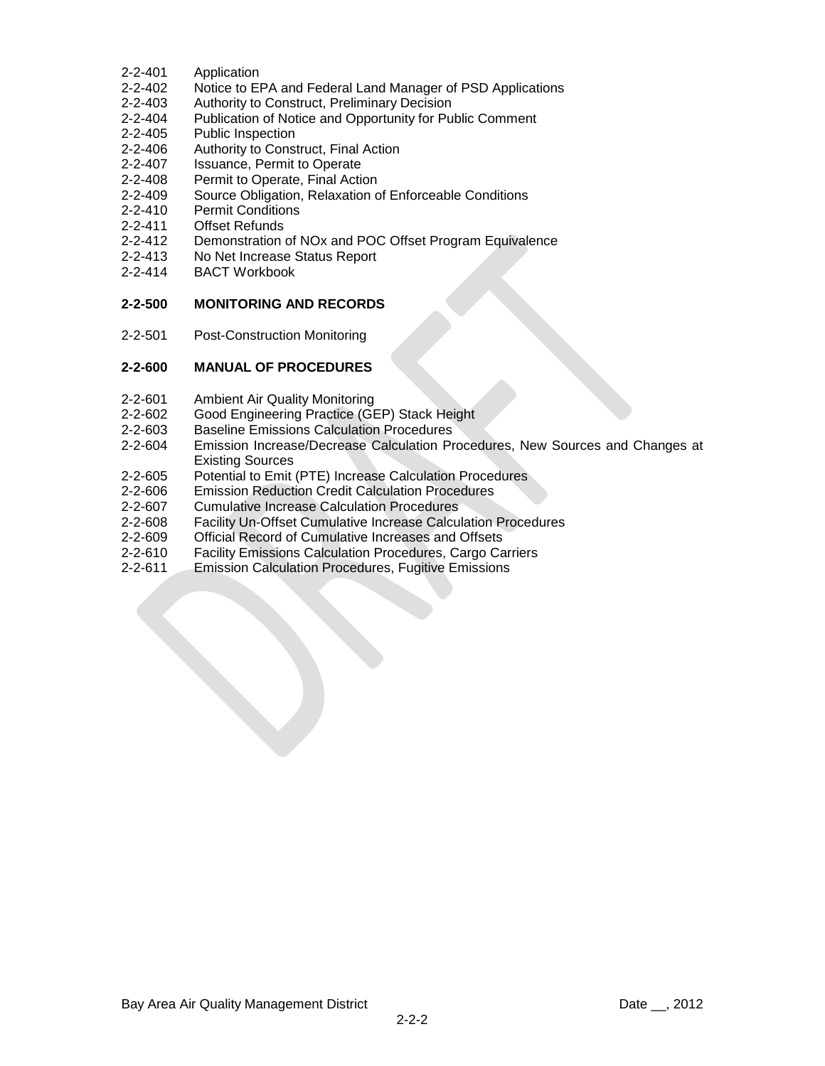- 2-2-401 Application
- 2-2-402 Notice to EPA and Federal Land Manager of PSD Applications
- 2-2-403 Authority to Construct, Preliminary Decision
- 2-2-404 Publication of Notice and Opportunity for Public Comment
- 2-2-405 Public Inspection
- 2-2-406 Authority to Construct, Final Action
- 2-2-407 Issuance, Permit to Operate
- 2-2-408 Permit to Operate, Final Action
- 2-2-409 Source Obligation, Relaxation of Enforceable Conditions
- 2-2-410 Permit Conditions
- 2-2-411 Offset Refunds
- 2-2-412 Demonstration of NOx and POC Offset Program Equivalence
- 2-2-413 No Net Increase Status Report
- 2-2-414 BACT Workbook

## **2-2-500 MONITORING AND RECORDS**

2-2-501 Post-Construction Monitoring

### **2-2-600 MANUAL OF PROCEDURES**

- 2-2-601 Ambient Air Quality Monitoring
- 2-2-602 Good Engineering Practice (GEP) Stack Height
- 2-2-603 Baseline Emissions Calculation Procedures
- 2-2-604 Emission Increase/Decrease Calculation Procedures, New Sources and Changes at Existing Sources
- 2-2-605 Potential to Emit (PTE) Increase Calculation Procedures
- 2-2-606 Emission Reduction Credit Calculation Procedures
- 2-2-607 Cumulative Increase Calculation Procedures
- 2-2-608 Facility Un-Offset Cumulative Increase Calculation Procedures
- 2-2-609 Official Record of Cumulative Increases and Offsets
- 2-2-610 Facility Emissions Calculation Procedures, Cargo Carriers
- 2-2-611 Emission Calculation Procedures, Fugitive Emissions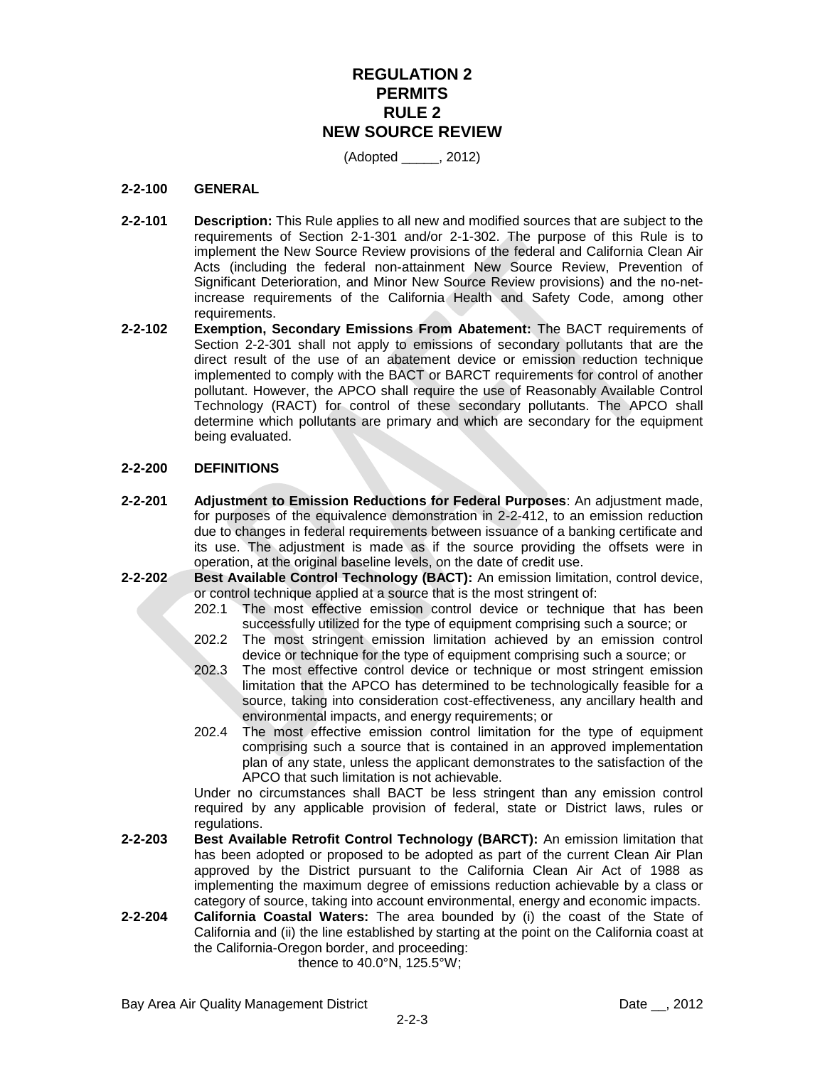# **REGULATION 2 PERMITS RULE 2 NEW SOURCE REVIEW**

(Adopted \_\_\_\_\_, 2012)

#### **2-2-100 GENERAL**

- **2-2-101 Description:** This Rule applies to all new and modified sources that are subject to the requirements of Section 2-1-301 and/or 2-1-302. The purpose of this Rule is to implement the New Source Review provisions of the federal and California Clean Air Acts (including the federal non-attainment New Source Review, Prevention of Significant Deterioration, and Minor New Source Review provisions) and the no-netincrease requirements of the California Health and Safety Code, among other requirements.
- **2-2-102 Exemption, Secondary Emissions From Abatement:** The BACT requirements of Section 2-2-301 shall not apply to emissions of secondary pollutants that are the direct result of the use of an abatement device or emission reduction technique implemented to comply with the BACT or BARCT requirements for control of another pollutant. However, the APCO shall require the use of Reasonably Available Control Technology (RACT) for control of these secondary pollutants. The APCO shall determine which pollutants are primary and which are secondary for the equipment being evaluated.

#### **2-2-200 DEFINITIONS**

- **2-2-201 Adjustment to Emission Reductions for Federal Purposes**: An adjustment made, for purposes of the equivalence demonstration in 2-2-412, to an emission reduction due to changes in federal requirements between issuance of a banking certificate and its use. The adjustment is made as if the source providing the offsets were in operation, at the original baseline levels, on the date of credit use.
- **2-2-202 Best Available Control Technology (BACT):** An emission limitation, control device, or control technique applied at a source that is the most stringent of:
	- 202.1 The most effective emission control device or technique that has been successfully utilized for the type of equipment comprising such a source; or
	- 202.2 The most stringent emission limitation achieved by an emission control device or technique for the type of equipment comprising such a source; or
	- 202.3 The most effective control device or technique or most stringent emission limitation that the APCO has determined to be technologically feasible for a source, taking into consideration cost-effectiveness, any ancillary health and environmental impacts, and energy requirements; or
	- 202.4 The most effective emission control limitation for the type of equipment comprising such a source that is contained in an approved implementation plan of any state, unless the applicant demonstrates to the satisfaction of the APCO that such limitation is not achievable.

Under no circumstances shall BACT be less stringent than any emission control required by any applicable provision of federal, state or District laws, rules or regulations.

- **2-2-203 Best Available Retrofit Control Technology (BARCT):** An emission limitation that has been adopted or proposed to be adopted as part of the current Clean Air Plan approved by the District pursuant to the California Clean Air Act of 1988 as implementing the maximum degree of emissions reduction achievable by a class or category of source, taking into account environmental, energy and economic impacts.
- **2-2-204 California Coastal Waters:** The area bounded by (i) the coast of the State of California and (ii) the line established by starting at the point on the California coast at the California-Oregon border, and proceeding:

thence to 40.0°N, 125.5°W;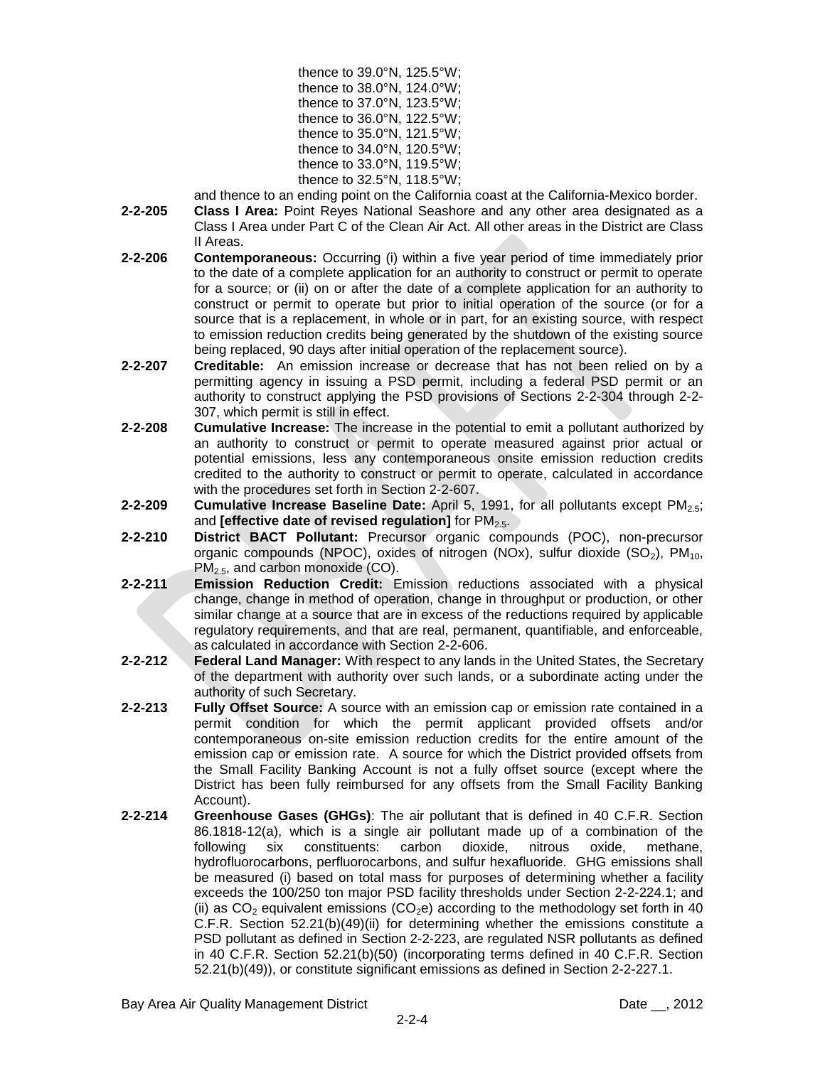| thence to 39.0°N, 125.5°W; |
|----------------------------|
| thence to 38.0°N, 124.0°W; |
| thence to 37.0°N, 123.5°W; |
| thence to 36.0°N, 122.5°W; |
| thence to 35.0°N, 121.5°W; |
| thence to 34.0°N, 120.5°W; |
| thence to 33.0°N, 119.5°W; |
| thence to 32.5°N, 118.5°W; |

and thence to an ending point on the California coast at the California-Mexico border.

- **2-2-205 Class I Area:** Point Reyes National Seashore and any other area designated as a Class I Area under Part C of the Clean Air Act. All other areas in the District are Class II Areas.
- **2-2-206 Contemporaneous:** Occurring (i) within a five year period of time immediately prior to the date of a complete application for an authority to construct or permit to operate for a source; or (ii) on or after the date of a complete application for an authority to construct or permit to operate but prior to initial operation of the source (or for a source that is a replacement, in whole or in part, for an existing source, with respect to emission reduction credits being generated by the shutdown of the existing source being replaced, 90 days after initial operation of the replacement source).
- **2-2-207 Creditable:** An emission increase or decrease that has not been relied on by a permitting agency in issuing a PSD permit, including a federal PSD permit or an authority to construct applying the PSD provisions of Sections 2-2-304 through 2-2- 307, which permit is still in effect.
- **2-2-208 Cumulative Increase:** The increase in the potential to emit a pollutant authorized by an authority to construct or permit to operate measured against prior actual or potential emissions, less any contemporaneous onsite emission reduction credits credited to the authority to construct or permit to operate, calculated in accordance with the procedures set forth in Section 2-2-607.
- **2-2-209 Cumulative Increase Baseline Date:** April 5, 1991, for all pollutants except PM<sub>2.5</sub>; and **[effective date of revised regulation]** for PM<sub>2.5</sub>.
- **2-2-210 District BACT Pollutant:** Precursor organic compounds (POC), non-precursor organic compounds (NPOC), oxides of nitrogen (NOx), sulfur dioxide  $(SO<sub>2</sub>)$ , PM<sub>10</sub>,  $PM<sub>2.5</sub>$ , and carbon monoxide (CO).
- **2-2-211 Emission Reduction Credit:** Emission reductions associated with a physical change, change in method of operation, change in throughput or production, or other similar change at a source that are in excess of the reductions required by applicable regulatory requirements, and that are real, permanent, quantifiable, and enforceable, as calculated in accordance with Section 2-2-606.
- **2-2-212 Federal Land Manager:** With respect to any lands in the United States, the Secretary of the department with authority over such lands, or a subordinate acting under the authority of such Secretary.
- **2-2-213 Fully Offset Source:** A source with an emission cap or emission rate contained in a permit condition for which the permit applicant provided offsets and/or contemporaneous on-site emission reduction credits for the entire amount of the emission cap or emission rate. A source for which the District provided offsets from the Small Facility Banking Account is not a fully offset source (except where the District has been fully reimbursed for any offsets from the Small Facility Banking Account).
- **2-2-214 Greenhouse Gases (GHGs)**: The air pollutant that is defined in 40 C.F.R. Section 86.1818-12(a), which is a single air pollutant made up of a combination of the following six constituents: carbon dioxide, nitrous oxide, methane, hydrofluorocarbons, perfluorocarbons, and sulfur hexafluoride. GHG emissions shall be measured (i) based on total mass for purposes of determining whether a facility exceeds the 100/250 ton major PSD facility thresholds under Section 2-2-224.1; and (ii) as  $CO<sub>2</sub>$  equivalent emissions ( $CO<sub>2</sub>e$ ) according to the methodology set forth in 40 C.F.R. Section 52.21(b)(49)(ii) for determining whether the emissions constitute a PSD pollutant as defined in Section 2-2-223, are regulated NSR pollutants as defined in 40 C.F.R. Section 52.21(b)(50) (incorporating terms defined in 40 C.F.R. Section 52.21(b)(49)), or constitute significant emissions as defined in Section 2-2-227.1.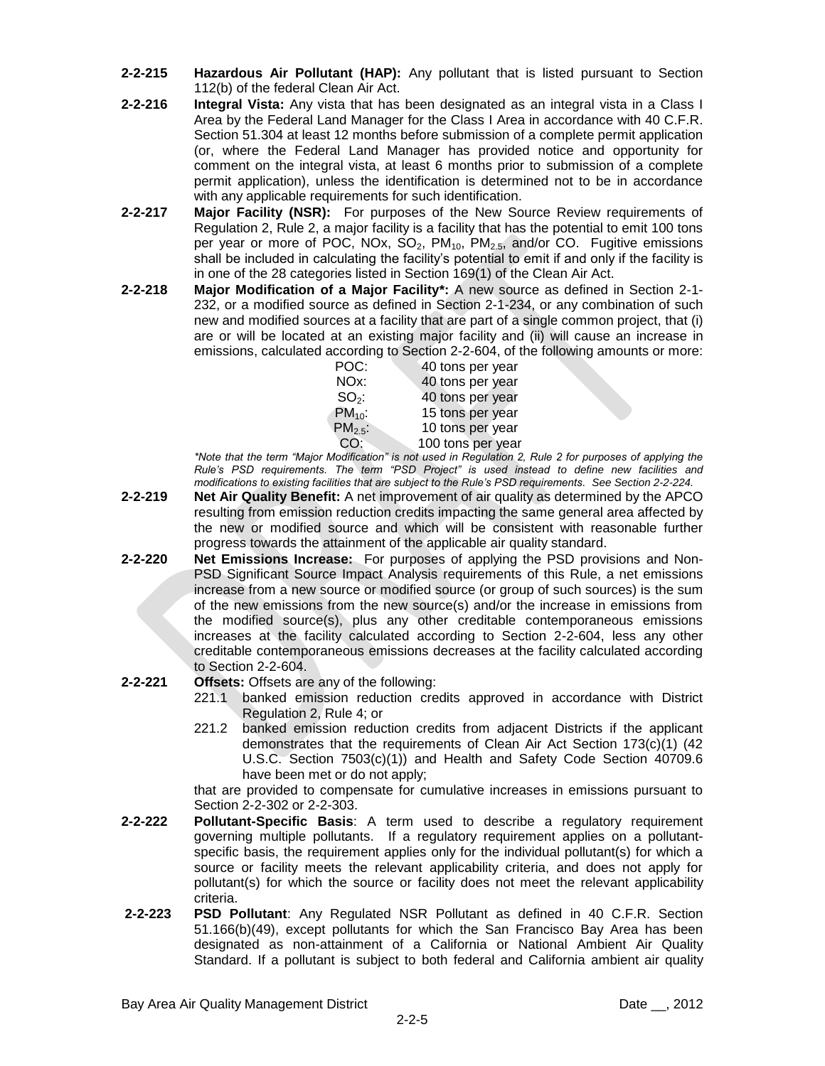- **2-2-215 Hazardous Air Pollutant (HAP):** Any pollutant that is listed pursuant to Section 112(b) of the federal Clean Air Act.
- **2-2-216 Integral Vista:** Any vista that has been designated as an integral vista in a Class I Area by the Federal Land Manager for the Class I Area in accordance with 40 C.F.R. Section 51.304 at least 12 months before submission of a complete permit application (or, where the Federal Land Manager has provided notice and opportunity for comment on the integral vista, at least 6 months prior to submission of a complete permit application), unless the identification is determined not to be in accordance with any applicable requirements for such identification.
- **2-2-217 Major Facility (NSR):** For purposes of the New Source Review requirements of Regulation 2, Rule 2, a major facility is a facility that has the potential to emit 100 tons per year or more of POC, NOx,  $SO_2$ , PM<sub>10</sub>, PM<sub>2.5</sub>, and/or CO. Fugitive emissions shall be included in calculating the facility's potential to emit if and only if the facility is in one of the 28 categories listed in Section 169(1) of the Clean Air Act.
- **2-2-218 Major Modification of a Major Facility\*:** A new source as defined in Section 2-1- 232, or a modified source as defined in Section 2-1-234, or any combination of such new and modified sources at a facility that are part of a single common project, that (i) are or will be located at an existing major facility and (ii) will cause an increase in emissions, calculated according to Section 2-2-604, of the following amounts or more:

| POC:        | 40 tons per year  |
|-------------|-------------------|
| NOx:        | 40 tons per year  |
| $SO_2$ :    | 40 tons per year  |
| $PM_{10}$ : | 15 tons per year  |
| $PM2.5$ :   | 10 tons per year  |
| CO:         | 100 tons per year |

*\*Note that the term "Major Modification" is not used in Regulation 2, Rule 2 for purposes of applying the Rule's PSD requirements. The term "PSD Project" is used instead to define new facilities and modifications to existing facilities that are subject to the Rule's PSD requirements. See Section 2-2-224.*

- **2-2-219 Net Air Quality Benefit:** A net improvement of air quality as determined by the APCO resulting from emission reduction credits impacting the same general area affected by the new or modified source and which will be consistent with reasonable further progress towards the attainment of the applicable air quality standard.
- **2-2-220 Net Emissions Increase:** For purposes of applying the PSD provisions and Non-PSD Significant Source Impact Analysis requirements of this Rule, a net emissions increase from a new source or modified source (or group of such sources) is the sum of the new emissions from the new source(s) and/or the increase in emissions from the modified source(s), plus any other creditable contemporaneous emissions increases at the facility calculated according to Section 2-2-604, less any other creditable contemporaneous emissions decreases at the facility calculated according to Section 2-2-604.

## **2-2-221 Offsets:** Offsets are any of the following:

- 221.1 banked emission reduction credits approved in accordance with District Regulation 2, Rule 4; or
- 221.2 banked emission reduction credits from adjacent Districts if the applicant demonstrates that the requirements of Clean Air Act Section 173(c)(1) (42 U.S.C. Section 7503(c)(1)) and Health and Safety Code Section 40709.6 have been met or do not apply;

that are provided to compensate for cumulative increases in emissions pursuant to Section 2-2-302 or 2-2-303.

- **2-2-222 Pollutant-Specific Basis**: A term used to describe a regulatory requirement governing multiple pollutants. If a regulatory requirement applies on a pollutantspecific basis, the requirement applies only for the individual pollutant(s) for which a source or facility meets the relevant applicability criteria, and does not apply for pollutant(s) for which the source or facility does not meet the relevant applicability criteria.
- **2-2-223 PSD Pollutant**: Any Regulated NSR Pollutant as defined in 40 C.F.R. Section 51.166(b)(49), except pollutants for which the San Francisco Bay Area has been designated as non-attainment of a California or National Ambient Air Quality Standard. If a pollutant is subject to both federal and California ambient air quality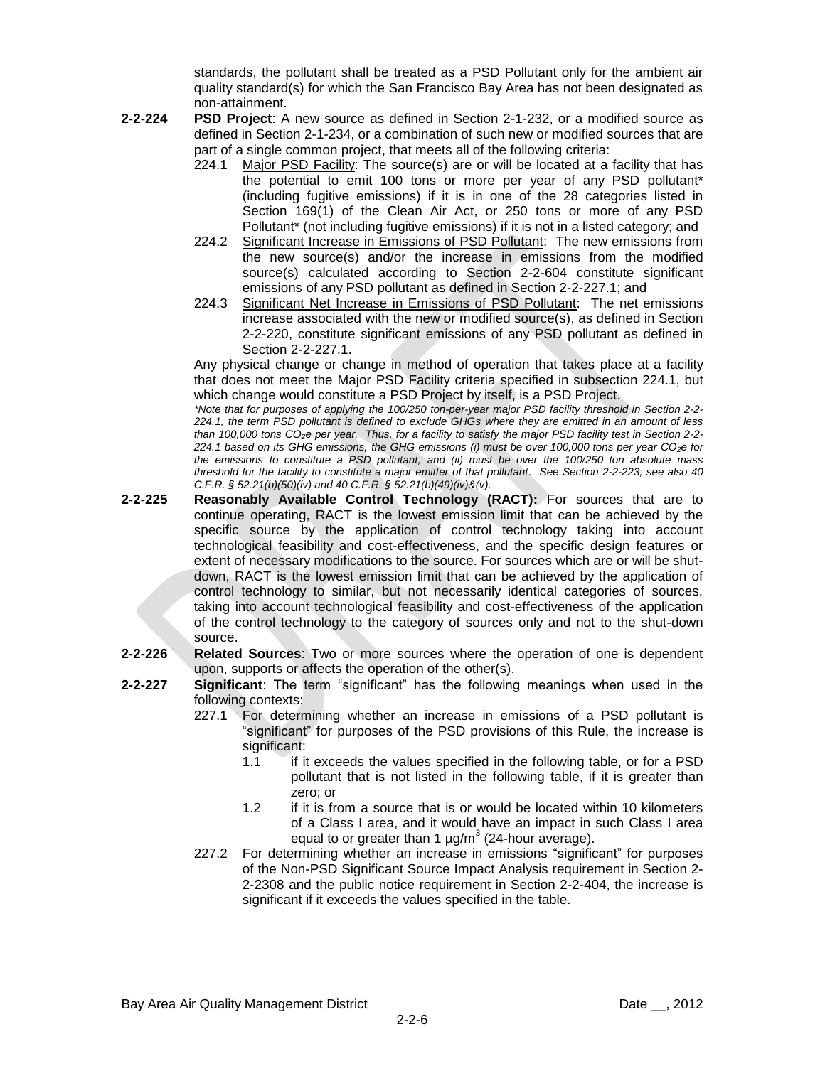standards, the pollutant shall be treated as a PSD Pollutant only for the ambient air quality standard(s) for which the San Francisco Bay Area has not been designated as non-attainment.

- **2-2-224 PSD Project**: A new source as defined in Section 2-1-232, or a modified source as defined in Section 2-1-234, or a combination of such new or modified sources that are part of a single common project, that meets all of the following criteria:
	- 224.1 Major PSD Facility: The source(s) are or will be located at a facility that has the potential to emit 100 tons or more per year of any PSD pollutant\* (including fugitive emissions) if it is in one of the 28 categories listed in Section 169(1) of the Clean Air Act, or 250 tons or more of any PSD Pollutant\* (not including fugitive emissions) if it is not in a listed category; and
	- 224.2 Significant Increase in Emissions of PSD Pollutant: The new emissions from the new source(s) and/or the increase in emissions from the modified source(s) calculated according to Section 2-2-604 constitute significant emissions of any PSD pollutant as defined in Section 2-2-227.1; and
	- 224.3 Significant Net Increase in Emissions of PSD Pollutant: The net emissions increase associated with the new or modified source(s), as defined in Section 2-2-220, constitute significant emissions of any PSD pollutant as defined in Section 2-2-227.1.

Any physical change or change in method of operation that takes place at a facility that does not meet the Major PSD Facility criteria specified in subsection 224.1, but which change would constitute a PSD Project by itself, is a PSD Project.

*\*Note that for purposes of applying the 100/250 ton-per-year major PSD facility threshold in Section 2-2- 224.1, the term PSD pollutant is defined to exclude GHGs where they are emitted in an amount of less than 100,000 tons CO2e per year. Thus, for a facility to satisfy the major PSD facility test in Section 2-2- 224.1 based on its GHG emissions, the GHG emissions (i) must be over 100,000 tons per year CO2e for the emissions to constitute a PSD pollutant, and (ii) must be over the 100/250 ton absolute mass threshold for the facility to constitute a major emitter of that pollutant. See Section 2-2-223; see also 40 C.F.R. § 52.21(b)(50)(iv) and 40 C.F.R. § 52.21(b)(49)(iv)&(v).*

**2-2-225 Reasonably Available Control Technology (RACT):** For sources that are to continue operating, RACT is the lowest emission limit that can be achieved by the specific source by the application of control technology taking into account technological feasibility and cost-effectiveness, and the specific design features or extent of necessary modifications to the source. For sources which are or will be shutdown, RACT is the lowest emission limit that can be achieved by the application of control technology to similar, but not necessarily identical categories of sources, taking into account technological feasibility and cost-effectiveness of the application of the control technology to the category of sources only and not to the shut-down source.

- **2-2-226 Related Sources**: Two or more sources where the operation of one is dependent upon, supports or affects the operation of the other(s).
- **2-2-227 Significant**: The term "significant" has the following meanings when used in the following contexts:
	- 227.1 For determining whether an increase in emissions of a PSD pollutant is "significant" for purposes of the PSD provisions of this Rule, the increase is significant:
		- 1.1 if it exceeds the values specified in the following table, or for a PSD pollutant that is not listed in the following table, if it is greater than zero; or
		- 1.2 if it is from a source that is or would be located within 10 kilometers of a Class I area, and it would have an impact in such Class I area equal to or greater than 1  $\mu$ g/m<sup>3</sup> (24-hour average).
	- 227.2 For determining whether an increase in emissions "significant" for purposes of the Non-PSD Significant Source Impact Analysis requirement in Section 2- 2-2308 and the public notice requirement in Section 2-2-404, the increase is significant if it exceeds the values specified in the table.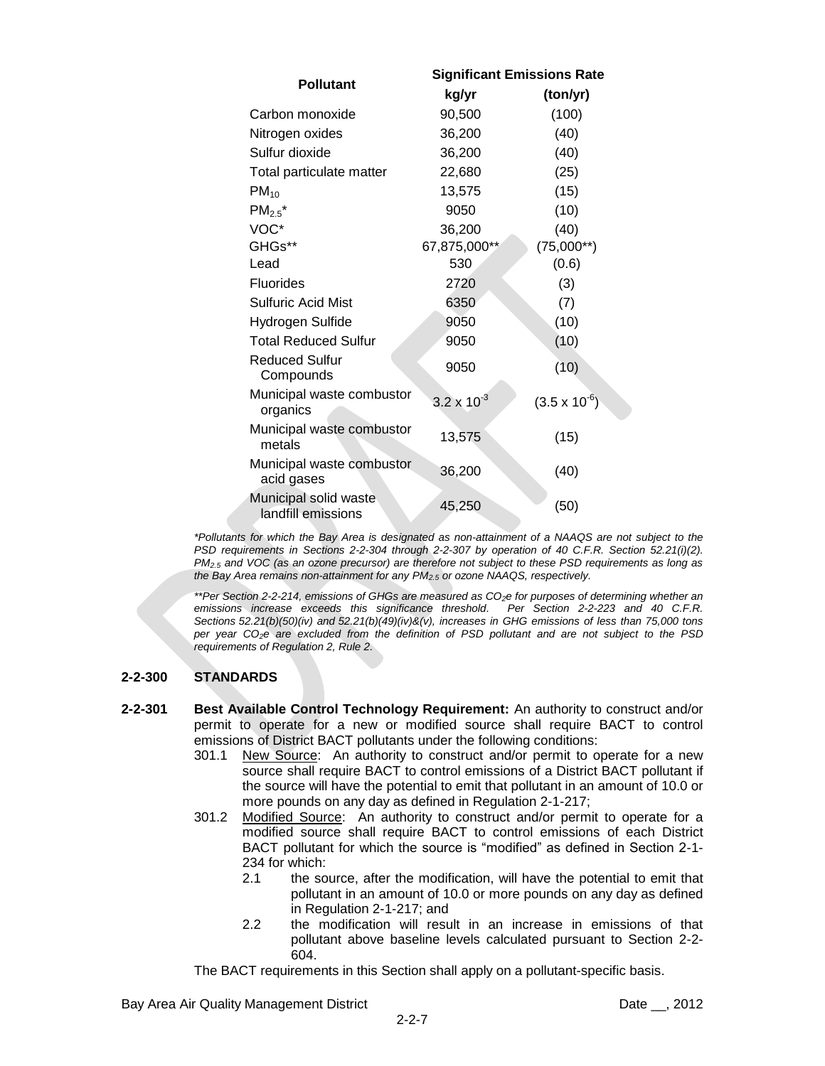|                                             | <b>Significant Emissions Rate</b> |                        |  |
|---------------------------------------------|-----------------------------------|------------------------|--|
| <b>Pollutant</b>                            | kg/yr                             | (ton/yr)               |  |
| Carbon monoxide                             | 90,500                            | (100)                  |  |
| Nitrogen oxides                             | 36,200                            | (40)                   |  |
| Sulfur dioxide                              | 36,200                            | (40)                   |  |
| Total particulate matter                    | 22,680                            | (25)                   |  |
| $PM_{10}$                                   | 13,575                            | (15)                   |  |
| $PM_{2.5}^{\bullet}$                        | 9050                              | (10)                   |  |
| VOC*                                        | 36,200                            | (40)                   |  |
| GHGs**                                      | 67,875,000**                      | $(75,000**)$           |  |
| Lead                                        | 530                               | (0.6)                  |  |
| <b>Fluorides</b>                            | 2720                              | (3)                    |  |
| <b>Sulfuric Acid Mist</b>                   | 6350                              | (7)                    |  |
| Hydrogen Sulfide                            | 9050                              | (10)                   |  |
| Total Reduced Sulfur                        | 9050                              | (10)                   |  |
| <b>Reduced Sulfur</b><br>Compounds          | 9050                              | (10)                   |  |
| Municipal waste combustor<br>organics       | $3.2 \times 10^{-3}$              | $(3.5 \times 10^{-6})$ |  |
| Municipal waste combustor<br>metals         | 13,575                            | (15)                   |  |
| Municipal waste combustor<br>acid gases     | 36,200                            | (40)                   |  |
| Municipal solid waste<br>landfill emissions | 45,250                            | (50)                   |  |

*\*Pollutants for which the Bay Area is designated as non-attainment of a NAAQS are not subject to the PSD requirements in Sections 2-2-304 through 2-2-307 by operation of 40 C.F.R. Section 52.21(i)(2). PM2.5 and VOC (as an ozone precursor) are therefore not subject to these PSD requirements as long as the Bay Area remains non-attainment for any PM2.5 or ozone NAAQS, respectively.*

*\*\*Per Section 2-2-214, emissions of GHGs are measured as CO2e for purposes of determining whether an emissions increase exceeds this significance threshold. Per Section 2-2-223 and 40 C.F.R. Sections 52.21(b)(50)(iv) and 52.21(b)(49)(iv)&(v), increases in GHG emissions of less than 75,000 tons per year CO2e are excluded from the definition of PSD pollutant and are not subject to the PSD requirements of Regulation 2, Rule 2.*

## **2-2-300 STANDARDS**

- **2-2-301 Best Available Control Technology Requirement:** An authority to construct and/or permit to operate for a new or modified source shall require BACT to control emissions of District BACT pollutants under the following conditions:
	- 301.1 New Source: An authority to construct and/or permit to operate for a new source shall require BACT to control emissions of a District BACT pollutant if the source will have the potential to emit that pollutant in an amount of 10.0 or more pounds on any day as defined in Regulation 2-1-217;
	- 301.2 Modified Source: An authority to construct and/or permit to operate for a modified source shall require BACT to control emissions of each District BACT pollutant for which the source is "modified" as defined in Section 2-1- 234 for which:
		- 2.1 the source, after the modification, will have the potential to emit that pollutant in an amount of 10.0 or more pounds on any day as defined in Regulation 2-1-217; and
		- 2.2 the modification will result in an increase in emissions of that pollutant above baseline levels calculated pursuant to Section 2-2- 604.

The BACT requirements in this Section shall apply on a pollutant-specific basis.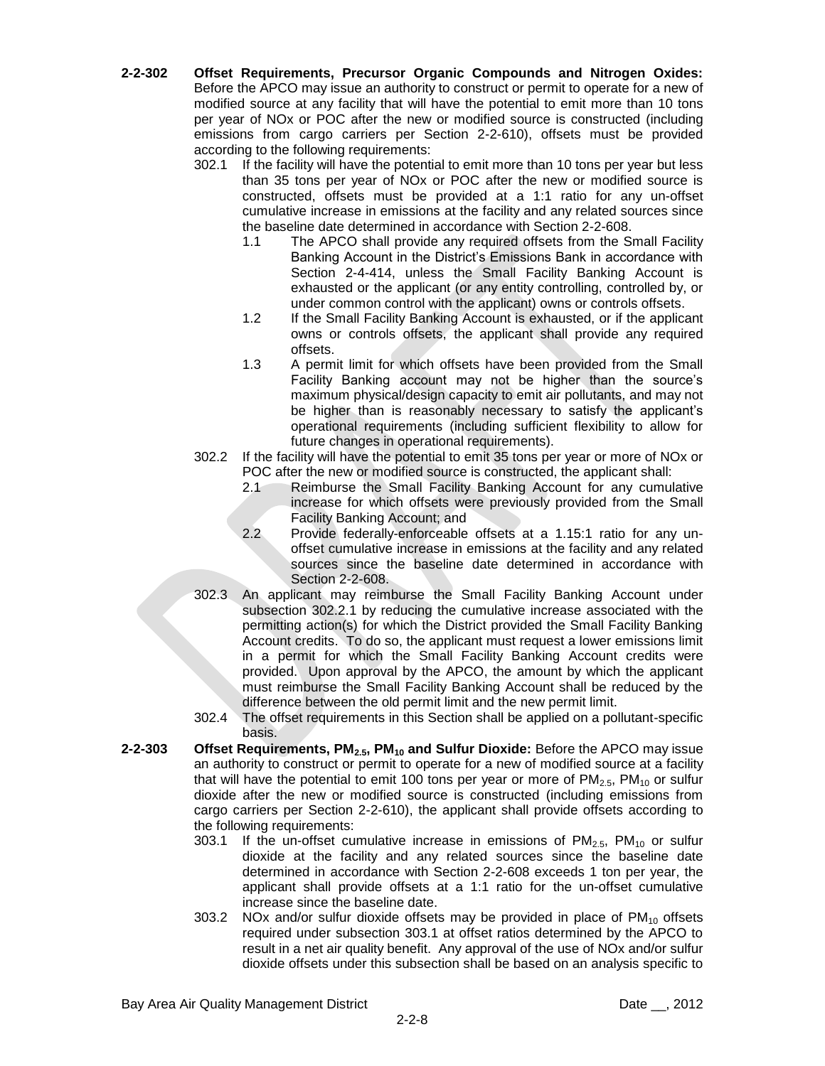- **2-2-302 Offset Requirements, Precursor Organic Compounds and Nitrogen Oxides:** Before the APCO may issue an authority to construct or permit to operate for a new of modified source at any facility that will have the potential to emit more than 10 tons per year of NOx or POC after the new or modified source is constructed (including emissions from cargo carriers per Section 2-2-610), offsets must be provided according to the following requirements:
	- 302.1 If the facility will have the potential to emit more than 10 tons per year but less than 35 tons per year of NOx or POC after the new or modified source is constructed, offsets must be provided at a 1:1 ratio for any un-offset cumulative increase in emissions at the facility and any related sources since the baseline date determined in accordance with Section 2-2-608.
		- 1.1 The APCO shall provide any required offsets from the Small Facility Banking Account in the District's Emissions Bank in accordance with Section 2-4-414, unless the Small Facility Banking Account is exhausted or the applicant (or any entity controlling, controlled by, or under common control with the applicant) owns or controls offsets.
		- 1.2 If the Small Facility Banking Account is exhausted, or if the applicant owns or controls offsets, the applicant shall provide any required offsets.
		- 1.3 A permit limit for which offsets have been provided from the Small Facility Banking account may not be higher than the source's maximum physical/design capacity to emit air pollutants, and may not be higher than is reasonably necessary to satisfy the applicant's operational requirements (including sufficient flexibility to allow for future changes in operational requirements).
	- 302.2 If the facility will have the potential to emit 35 tons per year or more of NOx or POC after the new or modified source is constructed, the applicant shall:
		- 2.1 Reimburse the Small Facility Banking Account for any cumulative increase for which offsets were previously provided from the Small Facility Banking Account; and
		- 2.2 Provide federally-enforceable offsets at a 1.15:1 ratio for any unoffset cumulative increase in emissions at the facility and any related sources since the baseline date determined in accordance with Section 2-2-608.
	-
	- 302.3 An applicant may reimburse the Small Facility Banking Account under subsection 302.2.1 by reducing the cumulative increase associated with the permitting action(s) for which the District provided the Small Facility Banking Account credits. To do so, the applicant must request a lower emissions limit in a permit for which the Small Facility Banking Account credits were provided. Upon approval by the APCO, the amount by which the applicant must reimburse the Small Facility Banking Account shall be reduced by the difference between the old permit limit and the new permit limit.
	- 302.4 The offset requirements in this Section shall be applied on a pollutant-specific basis.
- **2-2-303 Offset Requirements, PM2.5, PM<sup>10</sup> and Sulfur Dioxide:** Before the APCO may issue an authority to construct or permit to operate for a new of modified source at a facility that will have the potential to emit 100 tons per year or more of  $PM_{2.5}$ ,  $PM_{10}$  or sulfur dioxide after the new or modified source is constructed (including emissions from cargo carriers per Section 2-2-610), the applicant shall provide offsets according to the following requirements:
	- 303.1 If the un-offset cumulative increase in emissions of  $PM_{2.5}$ ,  $PM_{10}$  or sulfur dioxide at the facility and any related sources since the baseline date determined in accordance with Section 2-2-608 exceeds 1 ton per year, the applicant shall provide offsets at a 1:1 ratio for the un-offset cumulative increase since the baseline date.
	- 303.2 NOx and/or sulfur dioxide offsets may be provided in place of  $PM_{10}$  offsets required under subsection 303.1 at offset ratios determined by the APCO to result in a net air quality benefit. Any approval of the use of NOx and/or sulfur dioxide offsets under this subsection shall be based on an analysis specific to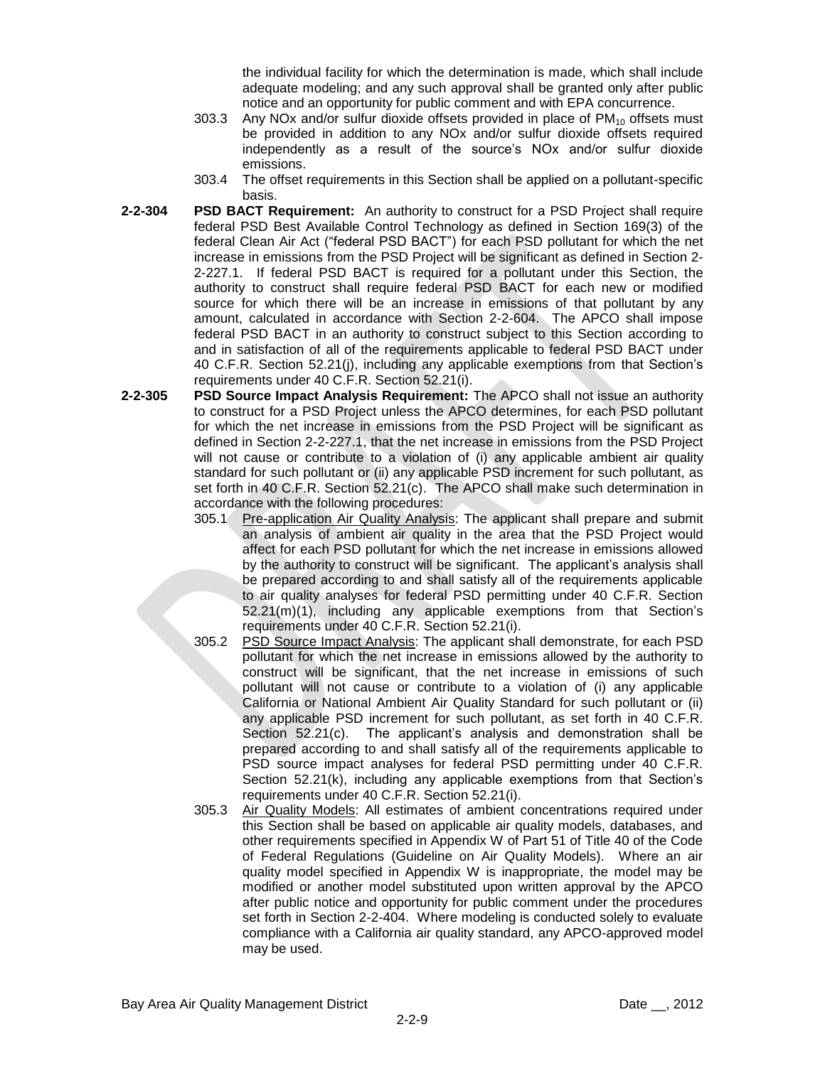the individual facility for which the determination is made, which shall include adequate modeling; and any such approval shall be granted only after public notice and an opportunity for public comment and with EPA concurrence.

- 303.3 Any NOx and/or sulfur dioxide offsets provided in place of  $PM_{10}$  offsets must be provided in addition to any NOx and/or sulfur dioxide offsets required independently as a result of the source's NOx and/or sulfur dioxide emissions.
- 303.4 The offset requirements in this Section shall be applied on a pollutant-specific basis.
- **2-2-304 PSD BACT Requirement:** An authority to construct for a PSD Project shall require federal PSD Best Available Control Technology as defined in Section 169(3) of the federal Clean Air Act ("federal PSD BACT") for each PSD pollutant for which the net increase in emissions from the PSD Project will be significant as defined in Section 2- 2-227.1. If federal PSD BACT is required for a pollutant under this Section, the authority to construct shall require federal PSD BACT for each new or modified source for which there will be an increase in emissions of that pollutant by any amount, calculated in accordance with Section 2-2-604. The APCO shall impose federal PSD BACT in an authority to construct subject to this Section according to and in satisfaction of all of the requirements applicable to federal PSD BACT under 40 C.F.R. Section 52.21(j), including any applicable exemptions from that Section's requirements under 40 C.F.R. Section 52.21(i).
- **2-2-305 PSD Source Impact Analysis Requirement:** The APCO shall not issue an authority to construct for a PSD Project unless the APCO determines, for each PSD pollutant for which the net increase in emissions from the PSD Project will be significant as defined in Section 2-2-227.1, that the net increase in emissions from the PSD Project will not cause or contribute to a violation of (i) any applicable ambient air quality standard for such pollutant or (ii) any applicable PSD increment for such pollutant, as set forth in 40 C.F.R. Section 52.21(c). The APCO shall make such determination in accordance with the following procedures:
	- 305.1 Pre-application Air Quality Analysis: The applicant shall prepare and submit an analysis of ambient air quality in the area that the PSD Project would affect for each PSD pollutant for which the net increase in emissions allowed by the authority to construct will be significant. The applicant's analysis shall be prepared according to and shall satisfy all of the requirements applicable to air quality analyses for federal PSD permitting under 40 C.F.R. Section 52.21(m)(1), including any applicable exemptions from that Section's requirements under 40 C.F.R. Section 52.21(i).
	- 305.2 PSD Source Impact Analysis: The applicant shall demonstrate, for each PSD pollutant for which the net increase in emissions allowed by the authority to construct will be significant, that the net increase in emissions of such pollutant will not cause or contribute to a violation of (i) any applicable California or National Ambient Air Quality Standard for such pollutant or (ii) any applicable PSD increment for such pollutant, as set forth in 40 C.F.R. Section 52.21(c). The applicant's analysis and demonstration shall be prepared according to and shall satisfy all of the requirements applicable to PSD source impact analyses for federal PSD permitting under 40 C.F.R. Section 52.21(k), including any applicable exemptions from that Section's requirements under 40 C.F.R. Section 52.21(i).
	- 305.3 Air Quality Models: All estimates of ambient concentrations required under this Section shall be based on applicable air quality models, databases, and other requirements specified in Appendix W of Part 51 of Title 40 of the Code of Federal Regulations (Guideline on Air Quality Models). Where an air quality model specified in Appendix W is inappropriate, the model may be modified or another model substituted upon written approval by the APCO after public notice and opportunity for public comment under the procedures set forth in Section 2-2-404. Where modeling is conducted solely to evaluate compliance with a California air quality standard, any APCO-approved model may be used.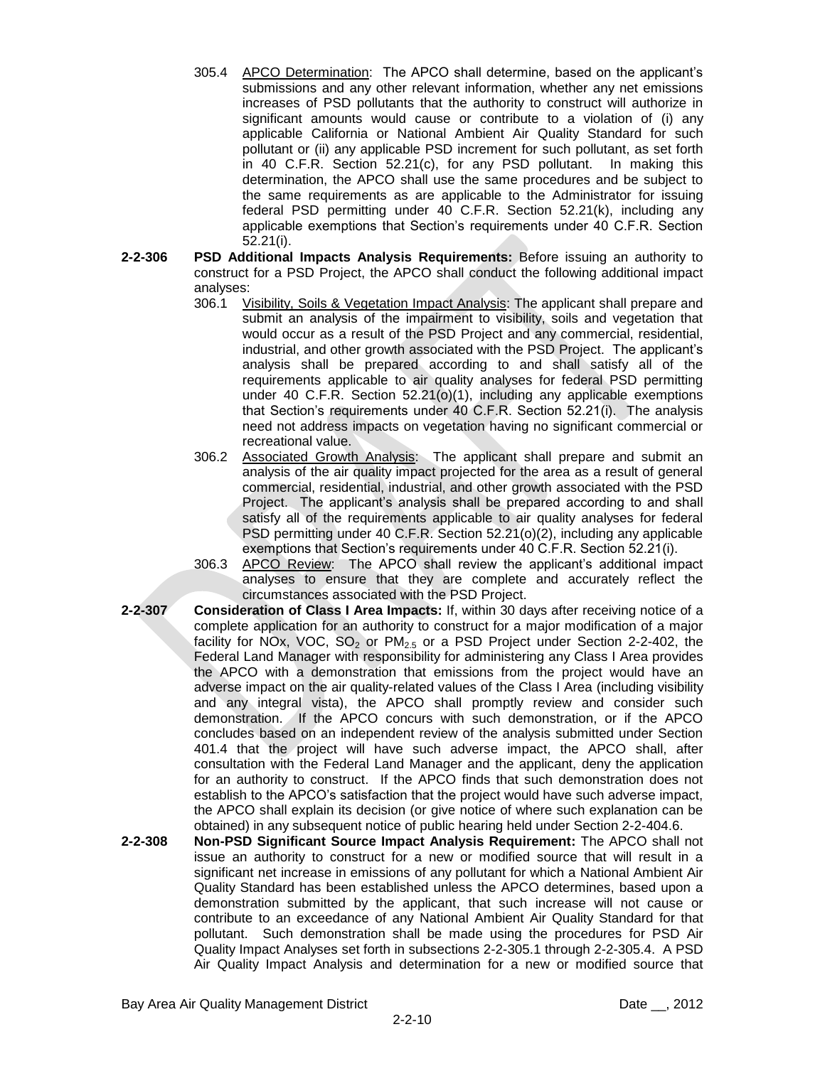- 305.4 APCO Determination: The APCO shall determine, based on the applicant's submissions and any other relevant information, whether any net emissions increases of PSD pollutants that the authority to construct will authorize in significant amounts would cause or contribute to a violation of (i) any applicable California or National Ambient Air Quality Standard for such pollutant or (ii) any applicable PSD increment for such pollutant, as set forth in 40 C.F.R. Section 52.21(c), for any PSD pollutant. In making this determination, the APCO shall use the same procedures and be subject to the same requirements as are applicable to the Administrator for issuing federal PSD permitting under 40 C.F.R. Section 52.21(k), including any applicable exemptions that Section's requirements under 40 C.F.R. Section 52.21(i).
- **2-2-306 PSD Additional Impacts Analysis Requirements:** Before issuing an authority to construct for a PSD Project, the APCO shall conduct the following additional impact analyses:
	- 306.1 Visibility, Soils & Vegetation Impact Analysis: The applicant shall prepare and submit an analysis of the impairment to visibility, soils and vegetation that would occur as a result of the PSD Project and any commercial, residential, industrial, and other growth associated with the PSD Project. The applicant's analysis shall be prepared according to and shall satisfy all of the requirements applicable to air quality analyses for federal PSD permitting under 40 C.F.R. Section 52.21(o)(1), including any applicable exemptions that Section's requirements under 40 C.F.R. Section 52.21(i). The analysis need not address impacts on vegetation having no significant commercial or recreational value.
	- 306.2 Associated Growth Analysis: The applicant shall prepare and submit an analysis of the air quality impact projected for the area as a result of general commercial, residential, industrial, and other growth associated with the PSD Project. The applicant's analysis shall be prepared according to and shall satisfy all of the requirements applicable to air quality analyses for federal PSD permitting under 40 C.F.R. Section 52.21(o)(2), including any applicable exemptions that Section's requirements under 40 C.F.R. Section 52.21(i).
	- 306.3 APCO Review: The APCO shall review the applicant's additional impact analyses to ensure that they are complete and accurately reflect the circumstances associated with the PSD Project.
- **2-2-307 Consideration of Class I Area Impacts:** If, within 30 days after receiving notice of a complete application for an authority to construct for a major modification of a major facility for NOx, VOC,  $SO_2$  or PM<sub>2.5</sub> or a PSD Project under Section 2-2-402, the Federal Land Manager with responsibility for administering any Class I Area provides the APCO with a demonstration that emissions from the project would have an adverse impact on the air quality-related values of the Class I Area (including visibility and any integral vista), the APCO shall promptly review and consider such demonstration. If the APCO concurs with such demonstration, or if the APCO concludes based on an independent review of the analysis submitted under Section 401.4 that the project will have such adverse impact, the APCO shall, after consultation with the Federal Land Manager and the applicant, deny the application for an authority to construct. If the APCO finds that such demonstration does not establish to the APCO's satisfaction that the project would have such adverse impact, the APCO shall explain its decision (or give notice of where such explanation can be obtained) in any subsequent notice of public hearing held under Section 2-2-404.6.
- **2-2-308 Non-PSD Significant Source Impact Analysis Requirement:** The APCO shall not issue an authority to construct for a new or modified source that will result in a significant net increase in emissions of any pollutant for which a National Ambient Air Quality Standard has been established unless the APCO determines, based upon a demonstration submitted by the applicant, that such increase will not cause or contribute to an exceedance of any National Ambient Air Quality Standard for that pollutant. Such demonstration shall be made using the procedures for PSD Air Quality Impact Analyses set forth in subsections 2-2-305.1 through 2-2-305.4. A PSD Air Quality Impact Analysis and determination for a new or modified source that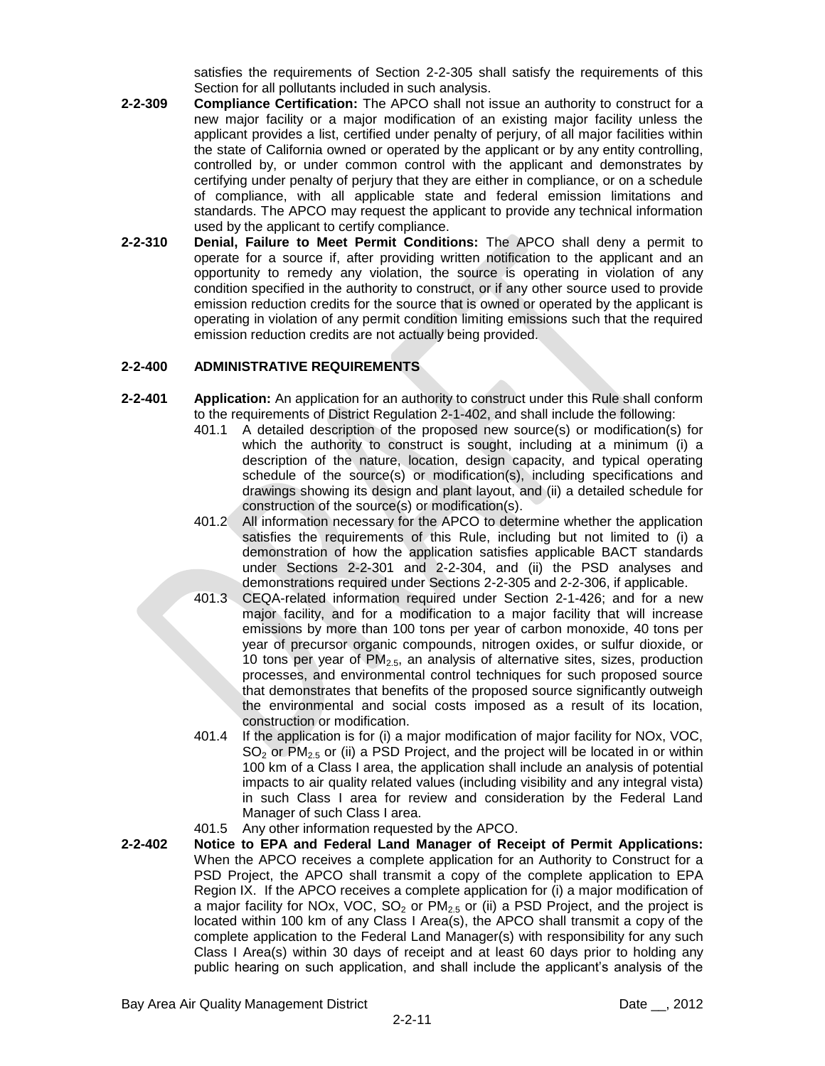satisfies the requirements of Section 2-2-305 shall satisfy the requirements of this Section for all pollutants included in such analysis.

- **2-2-309 Compliance Certification:** The APCO shall not issue an authority to construct for a new major facility or a major modification of an existing major facility unless the applicant provides a list, certified under penalty of perjury, of all major facilities within the state of California owned or operated by the applicant or by any entity controlling, controlled by, or under common control with the applicant and demonstrates by certifying under penalty of perjury that they are either in compliance, or on a schedule of compliance, with all applicable state and federal emission limitations and standards. The APCO may request the applicant to provide any technical information used by the applicant to certify compliance.
- **2-2-310 Denial, Failure to Meet Permit Conditions:** The APCO shall deny a permit to operate for a source if, after providing written notification to the applicant and an opportunity to remedy any violation, the source is operating in violation of any condition specified in the authority to construct, or if any other source used to provide emission reduction credits for the source that is owned or operated by the applicant is operating in violation of any permit condition limiting emissions such that the required emission reduction credits are not actually being provided.

### **2-2-400 ADMINISTRATIVE REQUIREMENTS**

- **2-2-401 Application:** An application for an authority to construct under this Rule shall conform to the requirements of District Regulation 2-1-402, and shall include the following:
	- 401.1 A detailed description of the proposed new source(s) or modification(s) for which the authority to construct is sought, including at a minimum (i) a description of the nature, location, design capacity, and typical operating schedule of the source(s) or modification(s), including specifications and drawings showing its design and plant layout, and (ii) a detailed schedule for construction of the source(s) or modification(s).
	- 401.2 All information necessary for the APCO to determine whether the application satisfies the requirements of this Rule, including but not limited to (i) a demonstration of how the application satisfies applicable BACT standards under Sections 2-2-301 and 2-2-304, and (ii) the PSD analyses and demonstrations required under Sections 2-2-305 and 2-2-306, if applicable.
	- 401.3 CEQA-related information required under Section 2-1-426; and for a new major facility, and for a modification to a major facility that will increase emissions by more than 100 tons per year of carbon monoxide, 40 tons per year of precursor organic compounds, nitrogen oxides, or sulfur dioxide, or 10 tons per year of  $PM<sub>2.5</sub>$ , an analysis of alternative sites, sizes, production processes, and environmental control techniques for such proposed source that demonstrates that benefits of the proposed source significantly outweigh the environmental and social costs imposed as a result of its location, construction or modification.
	- 401.4 If the application is for (i) a major modification of major facility for NOx, VOC,  $SO<sub>2</sub>$  or PM<sub>2.5</sub> or (ii) a PSD Project, and the project will be located in or within 100 km of a Class I area, the application shall include an analysis of potential impacts to air quality related values (including visibility and any integral vista) in such Class I area for review and consideration by the Federal Land Manager of such Class I area.
	- 401.5 Any other information requested by the APCO.
- **2-2-402 Notice to EPA and Federal Land Manager of Receipt of Permit Applications:** When the APCO receives a complete application for an Authority to Construct for a PSD Project, the APCO shall transmit a copy of the complete application to EPA Region IX. If the APCO receives a complete application for (i) a major modification of a major facility for NOx, VOC,  $SO_2$  or PM<sub>2.5</sub> or (ii) a PSD Project, and the project is located within 100 km of any Class I Area(s), the APCO shall transmit a copy of the complete application to the Federal Land Manager(s) with responsibility for any such Class I Area(s) within 30 days of receipt and at least 60 days prior to holding any public hearing on such application, and shall include the applicant's analysis of the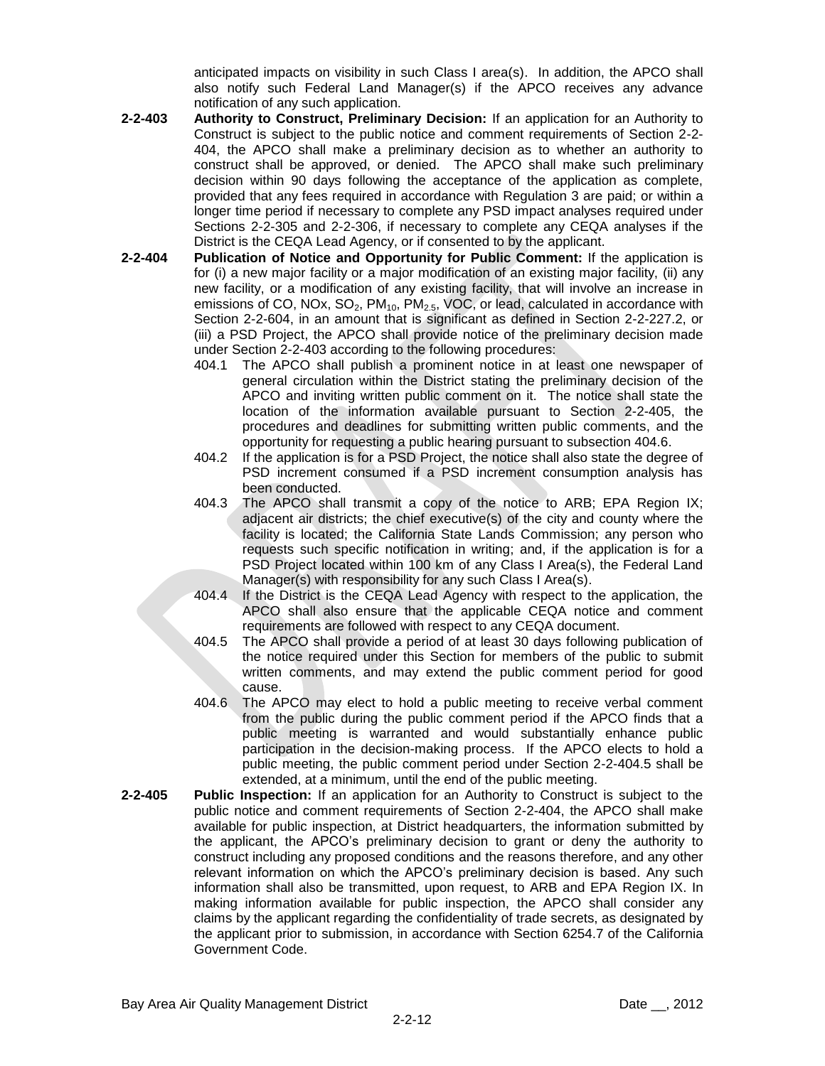anticipated impacts on visibility in such Class I area(s). In addition, the APCO shall also notify such Federal Land Manager(s) if the APCO receives any advance notification of any such application.

- **2-2-403 Authority to Construct, Preliminary Decision:** If an application for an Authority to Construct is subject to the public notice and comment requirements of Section 2-2- 404, the APCO shall make a preliminary decision as to whether an authority to construct shall be approved, or denied. The APCO shall make such preliminary decision within 90 days following the acceptance of the application as complete, provided that any fees required in accordance with Regulation 3 are paid; or within a longer time period if necessary to complete any PSD impact analyses required under Sections 2-2-305 and 2-2-306, if necessary to complete any CEQA analyses if the District is the CEQA Lead Agency, or if consented to by the applicant.
- **2-2-404 Publication of Notice and Opportunity for Public Comment:** If the application is for (i) a new major facility or a major modification of an existing major facility, (ii) any new facility, or a modification of any existing facility, that will involve an increase in emissions of CO, NOx,  $SO_2$ , PM<sub>10</sub>, PM<sub>2.5</sub>, VOC, or lead, calculated in accordance with Section 2-2-604, in an amount that is significant as defined in Section 2-2-227.2, or (iii) a PSD Project, the APCO shall provide notice of the preliminary decision made under Section 2-2-403 according to the following procedures:
	- 404.1 The APCO shall publish a prominent notice in at least one newspaper of general circulation within the District stating the preliminary decision of the APCO and inviting written public comment on it. The notice shall state the location of the information available pursuant to Section 2-2-405, the procedures and deadlines for submitting written public comments, and the opportunity for requesting a public hearing pursuant to subsection 404.6.
	- 404.2 If the application is for a PSD Project, the notice shall also state the degree of PSD increment consumed if a PSD increment consumption analysis has been conducted.
	- 404.3 The APCO shall transmit a copy of the notice to ARB; EPA Region IX; adjacent air districts; the chief executive(s) of the city and county where the facility is located; the California State Lands Commission; any person who requests such specific notification in writing; and, if the application is for a PSD Project located within 100 km of any Class I Area(s), the Federal Land Manager(s) with responsibility for any such Class I Area(s).
	- 404.4 If the District is the CEQA Lead Agency with respect to the application, the APCO shall also ensure that the applicable CEQA notice and comment requirements are followed with respect to any CEQA document.
	- 404.5 The APCO shall provide a period of at least 30 days following publication of the notice required under this Section for members of the public to submit written comments, and may extend the public comment period for good cause.
	- 404.6 The APCO may elect to hold a public meeting to receive verbal comment from the public during the public comment period if the APCO finds that a public meeting is warranted and would substantially enhance public participation in the decision-making process. If the APCO elects to hold a public meeting, the public comment period under Section 2-2-404.5 shall be extended, at a minimum, until the end of the public meeting.
- **2-2-405 Public Inspection:** If an application for an Authority to Construct is subject to the public notice and comment requirements of Section 2-2-404, the APCO shall make available for public inspection, at District headquarters, the information submitted by the applicant, the APCO's preliminary decision to grant or deny the authority to construct including any proposed conditions and the reasons therefore, and any other relevant information on which the APCO's preliminary decision is based. Any such information shall also be transmitted, upon request, to ARB and EPA Region IX. In making information available for public inspection, the APCO shall consider any claims by the applicant regarding the confidentiality of trade secrets, as designated by the applicant prior to submission, in accordance with Section 6254.7 of the California Government Code.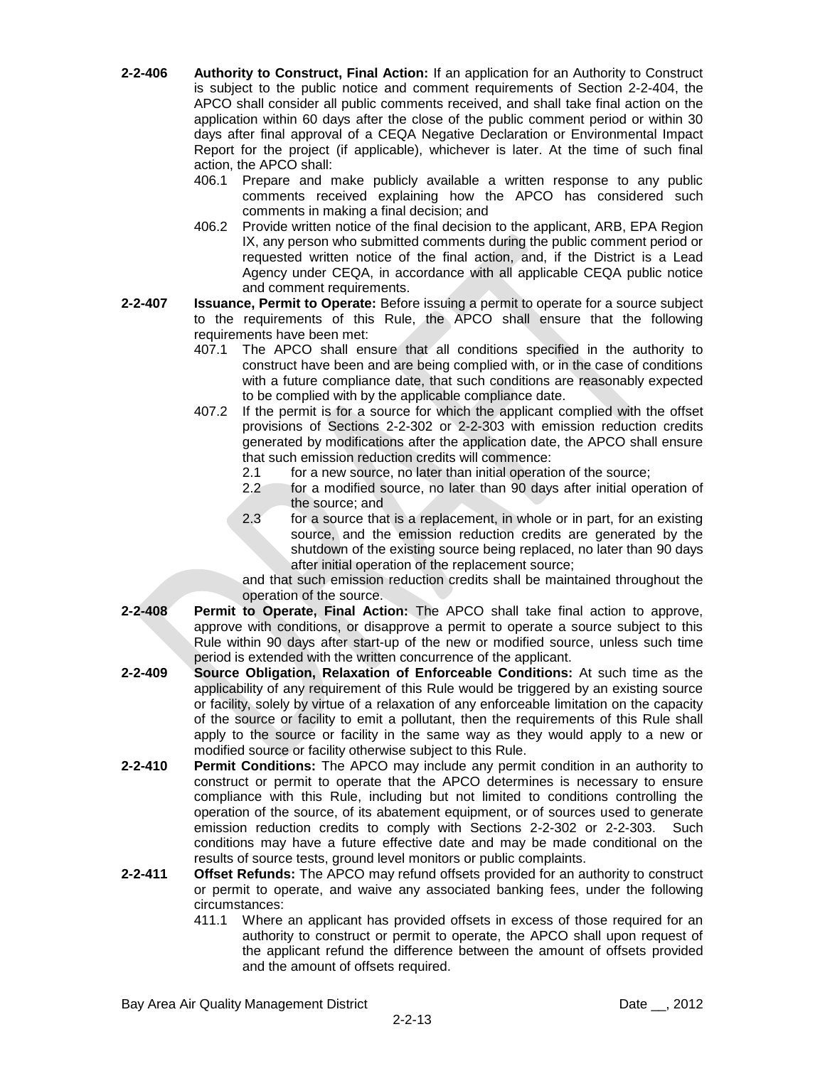- **2-2-406 Authority to Construct, Final Action:** If an application for an Authority to Construct is subject to the public notice and comment requirements of Section 2-2-404, the APCO shall consider all public comments received, and shall take final action on the application within 60 days after the close of the public comment period or within 30 days after final approval of a CEQA Negative Declaration or Environmental Impact Report for the project (if applicable), whichever is later. At the time of such final action, the APCO shall:
	- 406.1 Prepare and make publicly available a written response to any public comments received explaining how the APCO has considered such comments in making a final decision; and
	- 406.2 Provide written notice of the final decision to the applicant, ARB, EPA Region IX, any person who submitted comments during the public comment period or requested written notice of the final action, and, if the District is a Lead Agency under CEQA, in accordance with all applicable CEQA public notice and comment requirements.
- **2-2-407 Issuance, Permit to Operate:** Before issuing a permit to operate for a source subject to the requirements of this Rule, the APCO shall ensure that the following requirements have been met:
	- 407.1 The APCO shall ensure that all conditions specified in the authority to construct have been and are being complied with, or in the case of conditions with a future compliance date, that such conditions are reasonably expected to be complied with by the applicable compliance date.
	- 407.2 If the permit is for a source for which the applicant complied with the offset provisions of Sections 2-2-302 or 2-2-303 with emission reduction credits generated by modifications after the application date, the APCO shall ensure that such emission reduction credits will commence:
		- 2.1 for a new source, no later than initial operation of the source;
		- 2.2 for a modified source, no later than 90 days after initial operation of the source; and
		- 2.3 for a source that is a replacement, in whole or in part, for an existing source, and the emission reduction credits are generated by the shutdown of the existing source being replaced, no later than 90 days after initial operation of the replacement source;

and that such emission reduction credits shall be maintained throughout the operation of the source.

- **2-2-408 Permit to Operate, Final Action:** The APCO shall take final action to approve, approve with conditions, or disapprove a permit to operate a source subject to this Rule within 90 days after start-up of the new or modified source, unless such time period is extended with the written concurrence of the applicant.
- **2-2-409 Source Obligation, Relaxation of Enforceable Conditions:** At such time as the applicability of any requirement of this Rule would be triggered by an existing source or facility, solely by virtue of a relaxation of any enforceable limitation on the capacity of the source or facility to emit a pollutant, then the requirements of this Rule shall apply to the source or facility in the same way as they would apply to a new or modified source or facility otherwise subject to this Rule.
- **2-2-410 Permit Conditions:** The APCO may include any permit condition in an authority to construct or permit to operate that the APCO determines is necessary to ensure compliance with this Rule, including but not limited to conditions controlling the operation of the source, of its abatement equipment, or of sources used to generate emission reduction credits to comply with Sections 2-2-302 or 2-2-303. Such conditions may have a future effective date and may be made conditional on the results of source tests, ground level monitors or public complaints.
- **2-2-411 Offset Refunds:** The APCO may refund offsets provided for an authority to construct or permit to operate, and waive any associated banking fees, under the following circumstances:
	- 411.1 Where an applicant has provided offsets in excess of those required for an authority to construct or permit to operate, the APCO shall upon request of the applicant refund the difference between the amount of offsets provided and the amount of offsets required.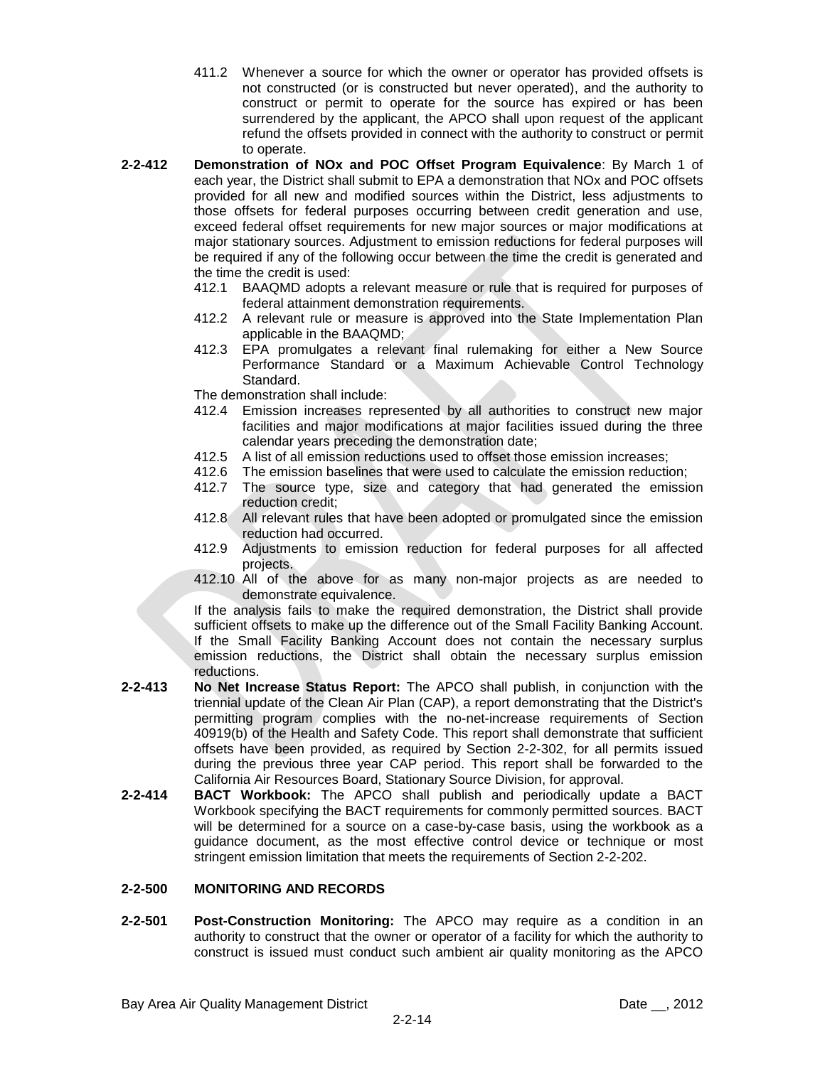- 411.2 Whenever a source for which the owner or operator has provided offsets is not constructed (or is constructed but never operated), and the authority to construct or permit to operate for the source has expired or has been surrendered by the applicant, the APCO shall upon request of the applicant refund the offsets provided in connect with the authority to construct or permit to operate.
- **2-2-412 Demonstration of NOx and POC Offset Program Equivalence**: By March 1 of each year, the District shall submit to EPA a demonstration that NOx and POC offsets provided for all new and modified sources within the District, less adjustments to those offsets for federal purposes occurring between credit generation and use, exceed federal offset requirements for new major sources or major modifications at major stationary sources. Adjustment to emission reductions for federal purposes will be required if any of the following occur between the time the credit is generated and the time the credit is used:
	- 412.1 BAAQMD adopts a relevant measure or rule that is required for purposes of federal attainment demonstration requirements.
	- 412.2 A relevant rule or measure is approved into the State Implementation Plan applicable in the BAAQMD;
	- 412.3 EPA promulgates a relevant final rulemaking for either a New Source Performance Standard or a Maximum Achievable Control Technology Standard.
	- The demonstration shall include:
	- 412.4 Emission increases represented by all authorities to construct new major facilities and major modifications at major facilities issued during the three calendar years preceding the demonstration date;
	- 412.5 A list of all emission reductions used to offset those emission increases;
	- 412.6 The emission baselines that were used to calculate the emission reduction;
	- 412.7 The source type, size and category that had generated the emission reduction credit;
	- 412.8 All relevant rules that have been adopted or promulgated since the emission reduction had occurred.
	- 412.9 Adjustments to emission reduction for federal purposes for all affected projects.
	- 412.10 All of the above for as many non-major projects as are needed to demonstrate equivalence.

If the analysis fails to make the required demonstration, the District shall provide sufficient offsets to make up the difference out of the Small Facility Banking Account. If the Small Facility Banking Account does not contain the necessary surplus emission reductions, the District shall obtain the necessary surplus emission reductions.

- **2-2-413 No Net Increase Status Report:** The APCO shall publish, in conjunction with the triennial update of the Clean Air Plan (CAP), a report demonstrating that the District's permitting program complies with the no-net-increase requirements of Section 40919(b) of the Health and Safety Code. This report shall demonstrate that sufficient offsets have been provided, as required by Section 2-2-302, for all permits issued during the previous three year CAP period. This report shall be forwarded to the California Air Resources Board, Stationary Source Division, for approval.
- **2-2-414 BACT Workbook:** The APCO shall publish and periodically update a BACT Workbook specifying the BACT requirements for commonly permitted sources. BACT will be determined for a source on a case-by-case basis, using the workbook as a guidance document, as the most effective control device or technique or most stringent emission limitation that meets the requirements of Section 2-2-202.

## **2-2-500 MONITORING AND RECORDS**

**2-2-501 Post-Construction Monitoring:** The APCO may require as a condition in an authority to construct that the owner or operator of a facility for which the authority to construct is issued must conduct such ambient air quality monitoring as the APCO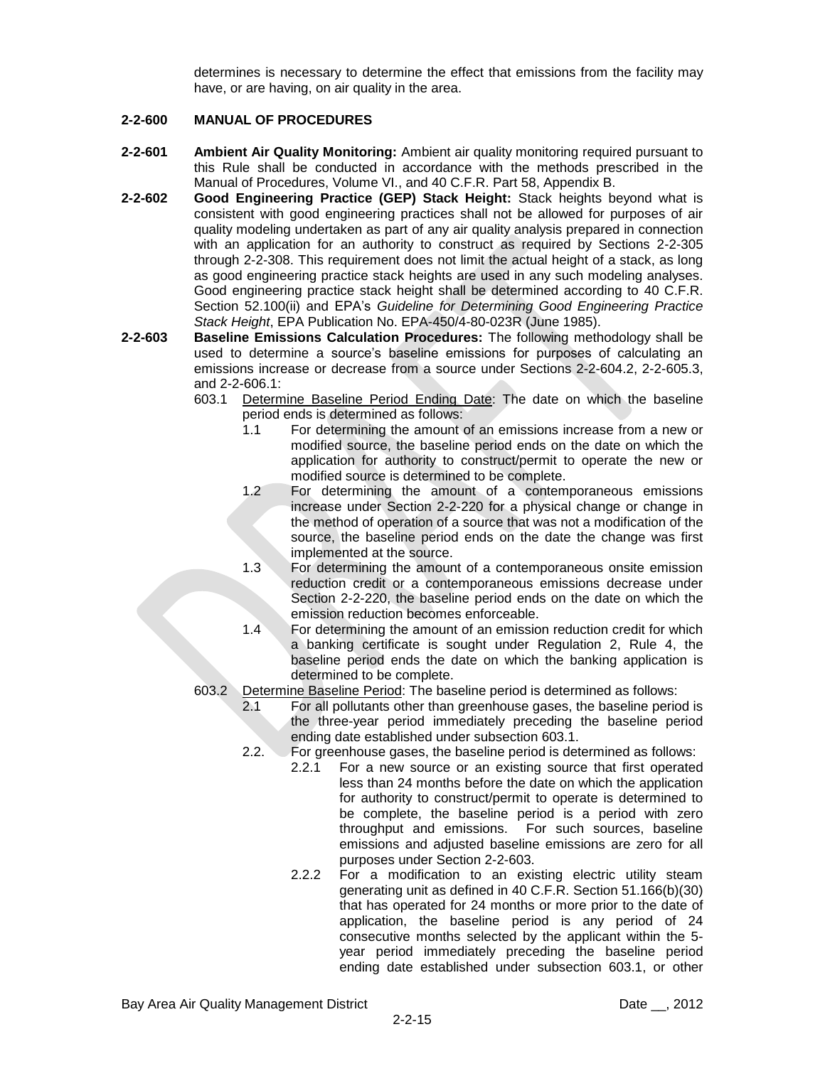determines is necessary to determine the effect that emissions from the facility may have, or are having, on air quality in the area.

## **2-2-600 MANUAL OF PROCEDURES**

- **2-2-601 Ambient Air Quality Monitoring:** Ambient air quality monitoring required pursuant to this Rule shall be conducted in accordance with the methods prescribed in the Manual of Procedures, Volume VI., and 40 C.F.R. Part 58, Appendix B.
- **2-2-602 Good Engineering Practice (GEP) Stack Height:** Stack heights beyond what is consistent with good engineering practices shall not be allowed for purposes of air quality modeling undertaken as part of any air quality analysis prepared in connection with an application for an authority to construct as required by Sections 2-2-305 through 2-2-308. This requirement does not limit the actual height of a stack, as long as good engineering practice stack heights are used in any such modeling analyses. Good engineering practice stack height shall be determined according to 40 C.F.R. Section 52.100(ii) and EPA's *Guideline for Determining Good Engineering Practice Stack Height*, EPA Publication No. EPA-450/4-80-023R (June 1985).
- **2-2-603 Baseline Emissions Calculation Procedures:** The following methodology shall be used to determine a source's baseline emissions for purposes of calculating an emissions increase or decrease from a source under Sections 2-2-604.2, 2-2-605.3, and 2-2-606.1:
	- 603.1 Determine Baseline Period Ending Date: The date on which the baseline period ends is determined as follows:
		- 1.1 For determining the amount of an emissions increase from a new or modified source, the baseline period ends on the date on which the application for authority to construct/permit to operate the new or modified source is determined to be complete.
		- 1.2 For determining the amount of a contemporaneous emissions increase under Section 2-2-220 for a physical change or change in the method of operation of a source that was not a modification of the source, the baseline period ends on the date the change was first implemented at the source.
		- 1.3 For determining the amount of a contemporaneous onsite emission reduction credit or a contemporaneous emissions decrease under Section 2-2-220, the baseline period ends on the date on which the emission reduction becomes enforceable.
		- 1.4 For determining the amount of an emission reduction credit for which a banking certificate is sought under Regulation 2, Rule 4, the baseline period ends the date on which the banking application is determined to be complete.
	- 603.2 Determine Baseline Period: The baseline period is determined as follows:
		- 2.1 For all pollutants other than greenhouse gases, the baseline period is the three-year period immediately preceding the baseline period ending date established under subsection 603.1.
		- 2.2. For greenhouse gases, the baseline period is determined as follows:
			- 2.2.1 For a new source or an existing source that first operated less than 24 months before the date on which the application for authority to construct/permit to operate is determined to be complete, the baseline period is a period with zero throughput and emissions. For such sources, baseline emissions and adjusted baseline emissions are zero for all purposes under Section 2-2-603.
			- 2.2.2 For a modification to an existing electric utility steam generating unit as defined in 40 C.F.R. Section 51.166(b)(30) that has operated for 24 months or more prior to the date of application, the baseline period is any period of 24 consecutive months selected by the applicant within the 5 year period immediately preceding the baseline period ending date established under subsection 603.1, or other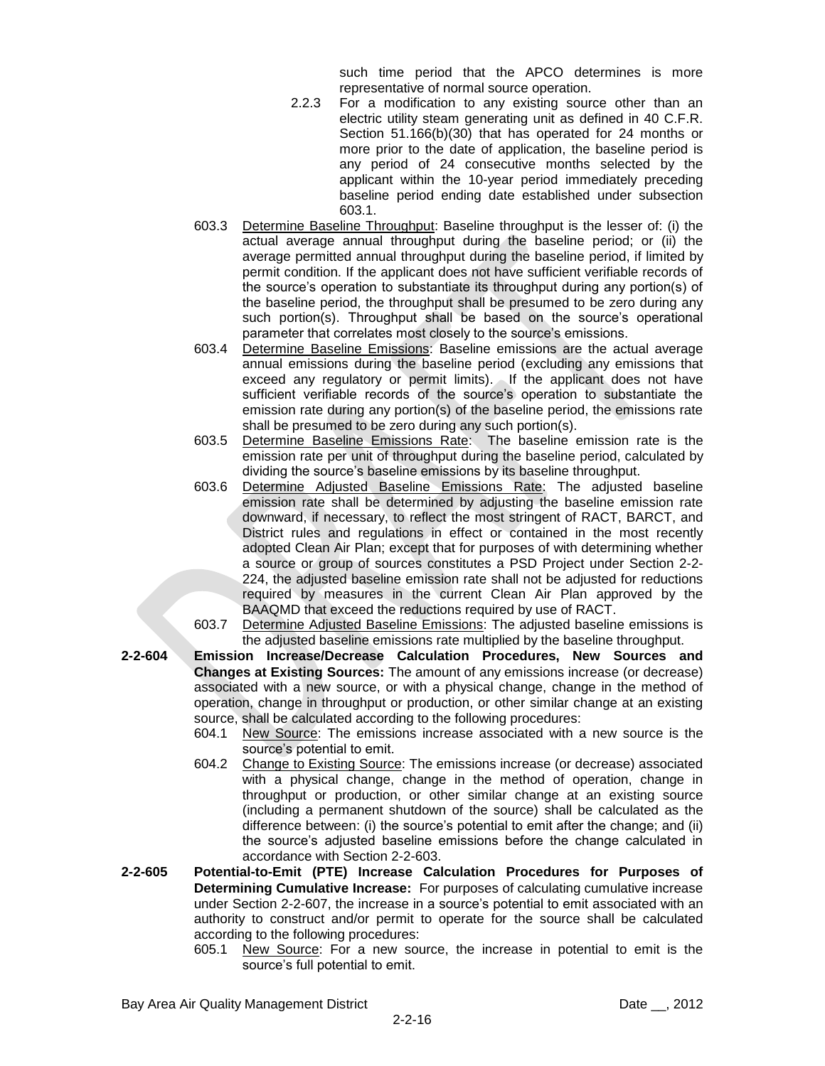such time period that the APCO determines is more representative of normal source operation.

- 2.2.3 For a modification to any existing source other than an electric utility steam generating unit as defined in 40 C.F.R. Section 51.166(b)(30) that has operated for 24 months or more prior to the date of application, the baseline period is any period of 24 consecutive months selected by the applicant within the 10-year period immediately preceding baseline period ending date established under subsection 603.1.
- 603.3 Determine Baseline Throughput: Baseline throughput is the lesser of: (i) the actual average annual throughput during the baseline period; or (ii) the average permitted annual throughput during the baseline period, if limited by permit condition. If the applicant does not have sufficient verifiable records of the source's operation to substantiate its throughput during any portion(s) of the baseline period, the throughput shall be presumed to be zero during any such portion(s). Throughput shall be based on the source's operational parameter that correlates most closely to the source's emissions.
- 603.4 Determine Baseline Emissions: Baseline emissions are the actual average annual emissions during the baseline period (excluding any emissions that exceed any regulatory or permit limits). If the applicant does not have sufficient verifiable records of the source's operation to substantiate the emission rate during any portion(s) of the baseline period, the emissions rate shall be presumed to be zero during any such portion(s).
- 603.5 Determine Baseline Emissions Rate: The baseline emission rate is the emission rate per unit of throughput during the baseline period, calculated by dividing the source's baseline emissions by its baseline throughput.
- 603.6 Determine Adjusted Baseline Emissions Rate: The adjusted baseline emission rate shall be determined by adjusting the baseline emission rate downward, if necessary, to reflect the most stringent of RACT, BARCT, and District rules and regulations in effect or contained in the most recently adopted Clean Air Plan; except that for purposes of with determining whether a source or group of sources constitutes a PSD Project under Section 2-2- 224, the adjusted baseline emission rate shall not be adjusted for reductions required by measures in the current Clean Air Plan approved by the BAAQMD that exceed the reductions required by use of RACT.
- 603.7 Determine Adjusted Baseline Emissions: The adjusted baseline emissions is the adjusted baseline emissions rate multiplied by the baseline throughput.
- **2-2-604 Emission Increase/Decrease Calculation Procedures, New Sources and Changes at Existing Sources:** The amount of any emissions increase (or decrease) associated with a new source, or with a physical change, change in the method of operation, change in throughput or production, or other similar change at an existing source, shall be calculated according to the following procedures:
	- 604.1 New Source: The emissions increase associated with a new source is the source's potential to emit.
	- 604.2 Change to Existing Source: The emissions increase (or decrease) associated with a physical change, change in the method of operation, change in throughput or production, or other similar change at an existing source (including a permanent shutdown of the source) shall be calculated as the difference between: (i) the source's potential to emit after the change; and (ii) the source's adjusted baseline emissions before the change calculated in accordance with Section 2-2-603.
- **2-2-605 Potential-to-Emit (PTE) Increase Calculation Procedures for Purposes of Determining Cumulative Increase:** For purposes of calculating cumulative increase under Section 2-2-607, the increase in a source's potential to emit associated with an authority to construct and/or permit to operate for the source shall be calculated according to the following procedures:
	- 605.1 New Source: For a new source, the increase in potential to emit is the source's full potential to emit.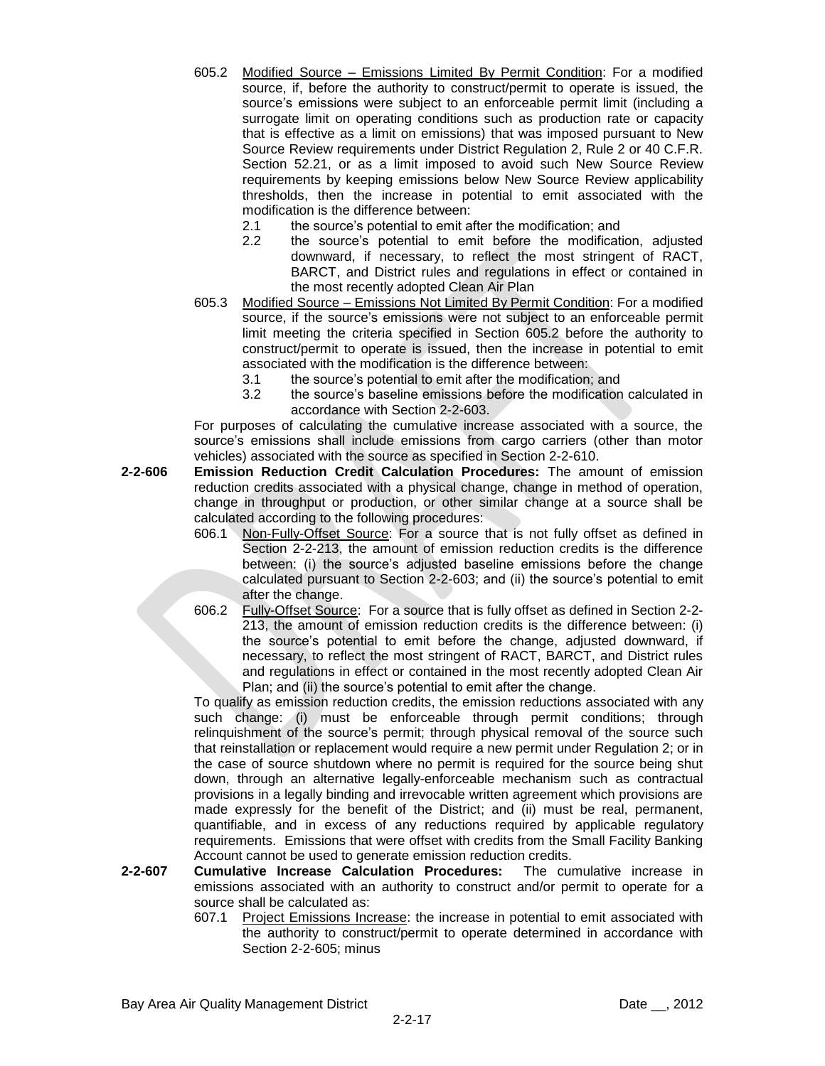- 605.2 Modified Source Emissions Limited By Permit Condition: For a modified source, if, before the authority to construct/permit to operate is issued, the source's emissions were subject to an enforceable permit limit (including a surrogate limit on operating conditions such as production rate or capacity that is effective as a limit on emissions) that was imposed pursuant to New Source Review requirements under District Regulation 2, Rule 2 or 40 C.F.R. Section 52.21, or as a limit imposed to avoid such New Source Review requirements by keeping emissions below New Source Review applicability thresholds, then the increase in potential to emit associated with the modification is the difference between:
	- 2.1 the source's potential to emit after the modification; and
	- 2.2 the source's potential to emit before the modification, adjusted downward, if necessary, to reflect the most stringent of RACT, BARCT, and District rules and regulations in effect or contained in the most recently adopted Clean Air Plan
- 605.3 Modified Source Emissions Not Limited By Permit Condition: For a modified source, if the source's emissions were not subject to an enforceable permit limit meeting the criteria specified in Section 605.2 before the authority to construct/permit to operate is issued, then the increase in potential to emit associated with the modification is the difference between:
	- 3.1 the source's potential to emit after the modification; and
	- 3.2 the source's baseline emissions before the modification calculated in accordance with Section 2-2-603.

For purposes of calculating the cumulative increase associated with a source, the source's emissions shall include emissions from cargo carriers (other than motor vehicles) associated with the source as specified in Section 2-2-610.

- **2-2-606 Emission Reduction Credit Calculation Procedures:** The amount of emission reduction credits associated with a physical change, change in method of operation, change in throughput or production, or other similar change at a source shall be calculated according to the following procedures:
	- 606.1 Non-Fully-Offset Source: For a source that is not fully offset as defined in Section 2-2-213, the amount of emission reduction credits is the difference between: (i) the source's adjusted baseline emissions before the change calculated pursuant to Section 2-2-603; and (ii) the source's potential to emit after the change.
	- 606.2 Fully-Offset Source: For a source that is fully offset as defined in Section 2-2- 213, the amount of emission reduction credits is the difference between: (i) the source's potential to emit before the change, adjusted downward, if necessary, to reflect the most stringent of RACT, BARCT, and District rules and regulations in effect or contained in the most recently adopted Clean Air Plan; and (ii) the source's potential to emit after the change.

To qualify as emission reduction credits, the emission reductions associated with any such change: (i) must be enforceable through permit conditions; through relinquishment of the source's permit; through physical removal of the source such that reinstallation or replacement would require a new permit under Regulation 2; or in the case of source shutdown where no permit is required for the source being shut down, through an alternative legally-enforceable mechanism such as contractual provisions in a legally binding and irrevocable written agreement which provisions are made expressly for the benefit of the District; and (ii) must be real, permanent, quantifiable, and in excess of any reductions required by applicable regulatory requirements. Emissions that were offset with credits from the Small Facility Banking Account cannot be used to generate emission reduction credits.

- **2-2-607 Cumulative Increase Calculation Procedures:** The cumulative increase in emissions associated with an authority to construct and/or permit to operate for a source shall be calculated as:
	- 607.1 Project Emissions Increase: the increase in potential to emit associated with the authority to construct/permit to operate determined in accordance with Section 2-2-605; minus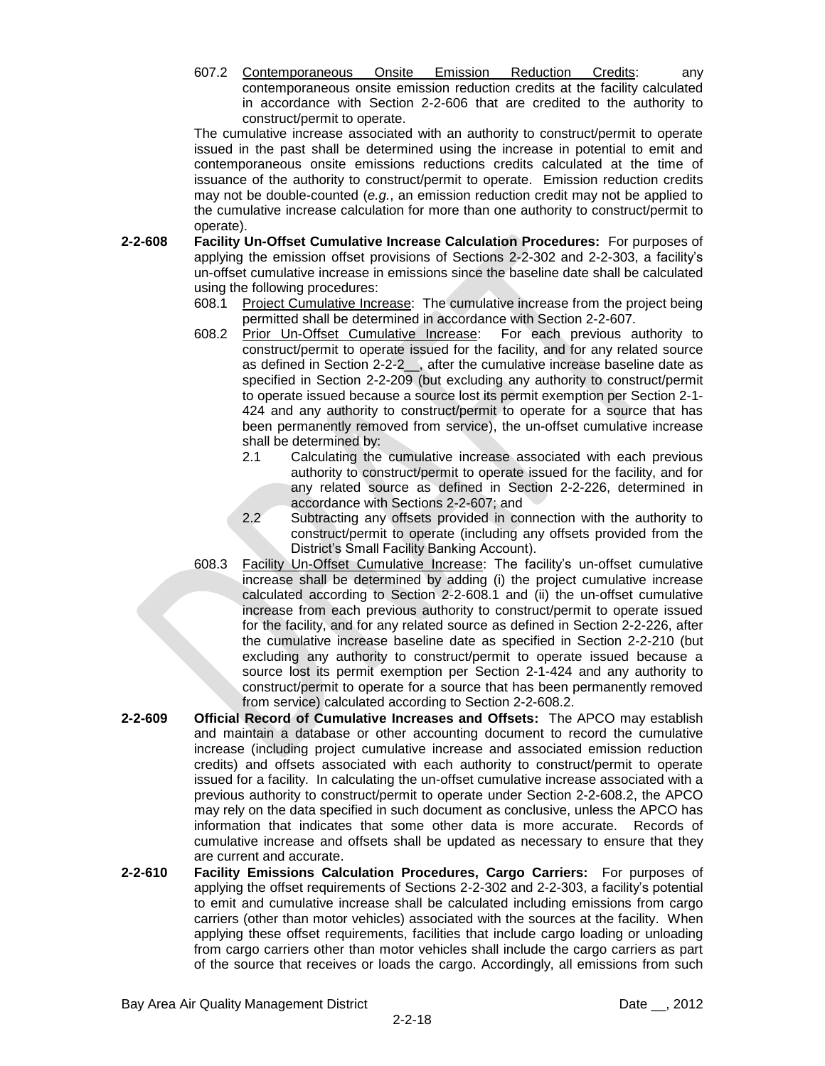607.2 Contemporaneous Onsite Emission Reduction Credits: any contemporaneous onsite emission reduction credits at the facility calculated in accordance with Section 2-2-606 that are credited to the authority to construct/permit to operate.

The cumulative increase associated with an authority to construct/permit to operate issued in the past shall be determined using the increase in potential to emit and contemporaneous onsite emissions reductions credits calculated at the time of issuance of the authority to construct/permit to operate. Emission reduction credits may not be double-counted (*e.g.*, an emission reduction credit may not be applied to the cumulative increase calculation for more than one authority to construct/permit to operate).

- **2-2-608 Facility Un-Offset Cumulative Increase Calculation Procedures:** For purposes of applying the emission offset provisions of Sections 2-2-302 and 2-2-303, a facility's un-offset cumulative increase in emissions since the baseline date shall be calculated using the following procedures:
	- 608.1 Project Cumulative Increase: The cumulative increase from the project being permitted shall be determined in accordance with Section 2-2-607.
	- 608.2 Prior Un-Offset Cumulative Increase: For each previous authority to construct/permit to operate issued for the facility, and for any related source as defined in Section 2-2-2 , after the cumulative increase baseline date as specified in Section 2-2-209 (but excluding any authority to construct/permit to operate issued because a source lost its permit exemption per Section 2-1- 424 and any authority to construct/permit to operate for a source that has been permanently removed from service), the un-offset cumulative increase shall be determined by:
		- 2.1 Calculating the cumulative increase associated with each previous authority to construct/permit to operate issued for the facility, and for any related source as defined in Section 2-2-226, determined in accordance with Sections 2-2-607; and
		- 2.2 Subtracting any offsets provided in connection with the authority to construct/permit to operate (including any offsets provided from the District's Small Facility Banking Account).
	- 608.3 Facility Un-Offset Cumulative Increase: The facility's un-offset cumulative increase shall be determined by adding (i) the project cumulative increase calculated according to Section 2-2-608.1 and (ii) the un-offset cumulative increase from each previous authority to construct/permit to operate issued for the facility, and for any related source as defined in Section 2-2-226, after the cumulative increase baseline date as specified in Section 2-2-210 (but excluding any authority to construct/permit to operate issued because a source lost its permit exemption per Section 2-1-424 and any authority to construct/permit to operate for a source that has been permanently removed from service) calculated according to Section 2-2-608.2.
- **2-2-609 Official Record of Cumulative Increases and Offsets:** The APCO may establish and maintain a database or other accounting document to record the cumulative increase (including project cumulative increase and associated emission reduction credits) and offsets associated with each authority to construct/permit to operate issued for a facility. In calculating the un-offset cumulative increase associated with a previous authority to construct/permit to operate under Section 2-2-608.2, the APCO may rely on the data specified in such document as conclusive, unless the APCO has information that indicates that some other data is more accurate. Records of cumulative increase and offsets shall be updated as necessary to ensure that they are current and accurate.
- **2-2-610 Facility Emissions Calculation Procedures, Cargo Carriers:** For purposes of applying the offset requirements of Sections 2-2-302 and 2-2-303, a facility's potential to emit and cumulative increase shall be calculated including emissions from cargo carriers (other than motor vehicles) associated with the sources at the facility. When applying these offset requirements, facilities that include cargo loading or unloading from cargo carriers other than motor vehicles shall include the cargo carriers as part of the source that receives or loads the cargo. Accordingly, all emissions from such